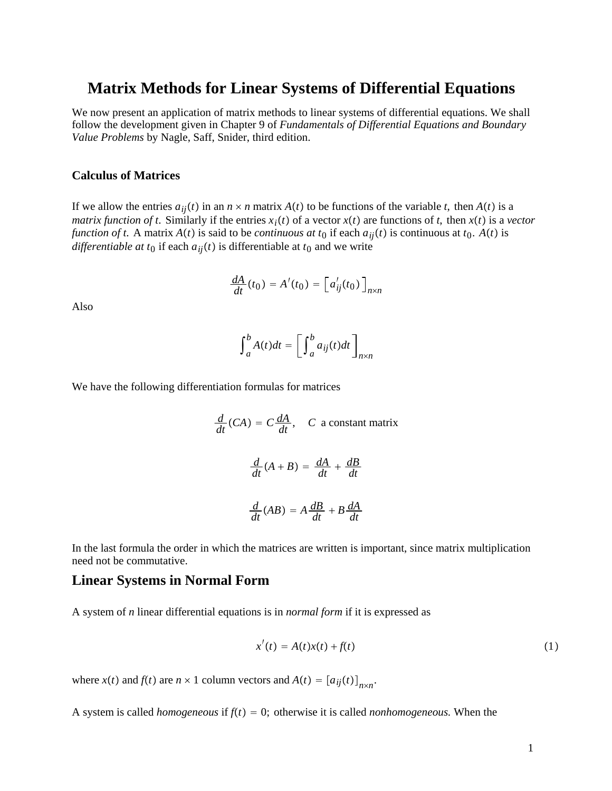# **Matrix Methods for Linear Systems of Differential Equations**

We now present an application of matrix methods to linear systems of differential equations. We shall follow the development given in Chapter 9 of *Fundamentals of Differential Equations and Boundary Value Problems* by Nagle, Saff, Snider, third edition.

# **Calculus of Matrices**

If we allow the entries  $a_{ij}(t)$  in an  $n \times n$  matrix  $A(t)$  to be functions of the variable *t*, then  $A(t)$  is a *matrix function of t.* Similarly if the entries  $x_i(t)$  of a vector  $x(t)$  are functions of t, then  $x(t)$  is a vector *function of t.* A matrix  $A(t)$  is said to be *continuous at*  $t_0$  if each  $a_{ij}(t)$  is continuous at  $t_0$ .  $A(t)$  is *differentiable at t*<sub>0</sub> if each  $a_{ij}(t)$  is differentiable at  $t_0$  and we write

$$
\frac{dA}{dt}(t_0) = A'(t_0) = \left[a'_{ij}(t_0)\right]_{n \times n}
$$

Also

$$
\int_{a}^{b} A(t)dt = \left[\int_{a}^{b} a_{ij}(t)dt\right]_{n \times n}
$$

We have the following differentiation formulas for matrices

$$
\frac{d}{dt}(CA) = C\frac{dA}{dt}, \quad C \text{ a constant matrix}
$$
\n
$$
\frac{d}{dt}(A+B) = \frac{dA}{dt} + \frac{dB}{dt}
$$
\n
$$
\frac{d}{dt}(AB) = A\frac{dB}{dt} + B\frac{dA}{dt}
$$

In the last formula the order in which the matrices are written is important, since matrix multiplication need not be commutative.

# **Linear Systems in Normal Form**

A system of *n* linear differential equations is in *normal form* if it is expressed as

$$
x'(t) = A(t)x(t) + f(t)
$$
\n(1)

where  $x(t)$  and  $f(t)$  are  $n \times 1$  column vectors and  $A(t) = [a_{ij}(t)]_{n \times n}$ .

A system is called *homogeneous* if  $f(t) = 0$ ; otherwise it is called *nonhomogeneous*. When the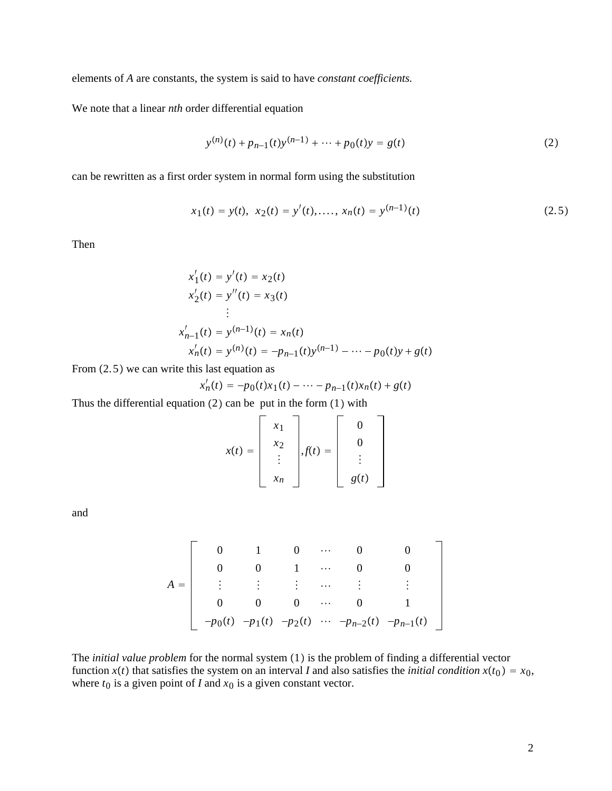elements of *A* are constants, the system is said to have *constant coefficients.*

We note that a linear *nth* order differential equation

$$
y^{(n)}(t) + p_{n-1}(t)y^{(n-1)} + \dots + p_0(t)y = g(t)
$$
\n(2)

can be rewritten as a first order system in normal form using the substitution

$$
x_1(t) = y(t), \ x_2(t) = y'(t), \dots, \ x_n(t) = y^{(n-1)}(t) \tag{2.5}
$$

Then

$$
x'_1(t) = y'(t) = x_2(t)
$$
  
\n
$$
x'_2(t) = y''(t) = x_3(t)
$$
  
\n
$$
\vdots
$$
  
\n
$$
x'_{n-1}(t) = y^{(n-1)}(t) = x_n(t)
$$
  
\n
$$
x'_n(t) = y^{(n)}(t) = -p_{n-1}(t)y^{(n-1)} - \dots - p_0(t)y + g(t)
$$

From  $(2.5)$  we can write this last equation as

$$
x'_{n}(t) = -p_{0}(t)x_{1}(t) - \cdots - p_{n-1}(t)x_{n}(t) + g(t)
$$

Thus the differential equation  $(2)$  can be put in the form  $(1)$  with

 $\blacksquare$ 

$$
x(t) = \begin{bmatrix} x_1 \\ x_2 \\ \vdots \\ x_n \end{bmatrix}, f(t) = \begin{bmatrix} 0 \\ 0 \\ \vdots \\ g(t) \end{bmatrix}
$$

and

$$
A = \begin{bmatrix} 0 & 1 & 0 & \cdots & 0 & 0 \\ 0 & 0 & 1 & \cdots & 0 & 0 \\ \vdots & \vdots & \vdots & \cdots & \vdots & \vdots \\ 0 & 0 & 0 & \cdots & 0 & 1 \\ -p_0(t) & -p_1(t) & -p_2(t) & \cdots & -p_{n-2}(t) & -p_{n-1}(t) \end{bmatrix}
$$

The *initial value problem* for the normal system (1) is the problem of finding a differential vector function  $x(t)$  that satisfies the system on an interval *I* and also satisfies the *initial condition*  $x(t_0) = x_0$ , where  $t_0$  is a given point of *I* and  $x_0$  is a given constant vector.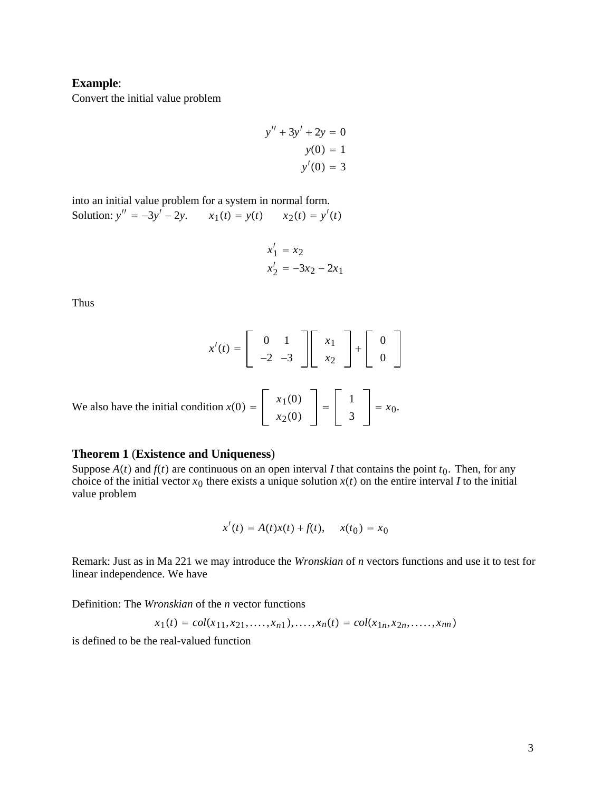# **Example**:

Convert the initial value problem

$$
y'' + 3y' + 2y = 0
$$

$$
y(0) = 1
$$

$$
y'(0) = 3
$$

into an initial value problem for a system in normal form. Solution:  $y'' = -3y' - 2y$ .  $x_1(t) = y(t)$   $x_2(t) = y'(t)$ 

$$
x'_1 = x_2
$$
  

$$
x'_2 = -3x_2 - 2x_1
$$

Thus

$$
x'(t) = \begin{bmatrix} 0 & 1 \\ -2 & -3 \end{bmatrix} \begin{bmatrix} x_1 \\ x_2 \end{bmatrix} + \begin{bmatrix} 0 \\ 0 \end{bmatrix}
$$
  
We also have the initial condition  $x(0) = \begin{bmatrix} x_1(0) \\ x_2(0) \end{bmatrix} = \begin{bmatrix} 1 \\ 3 \end{bmatrix} = x_0.$ 

### **Theorem 1** (**Existence and Uniqueness**)

Suppose  $A(t)$  and  $f(t)$  are continuous on an open interval *I* that contains the point  $t_0$ . Then, for any choice of the initial vector  $x_0$  there exists a unique solution  $x(t)$  on the entire interval *I* to the initial value problem

$$
x'(t) = A(t)x(t) + f(t), \quad x(t_0) = x_0
$$

Remark: Just as in Ma 221 we may introduce the *Wronskian* of *n* vectors functions and use it to test for linear independence. We have

Definition: The *Wronskian* of the *n* vector functions

$$
x_1(t) = col(x_{11}, x_{21}, \dots, x_{n1}), \dots, x_n(t) = col(x_{1n}, x_{2n}, \dots, x_{nn})
$$

is defined to be the real-valued function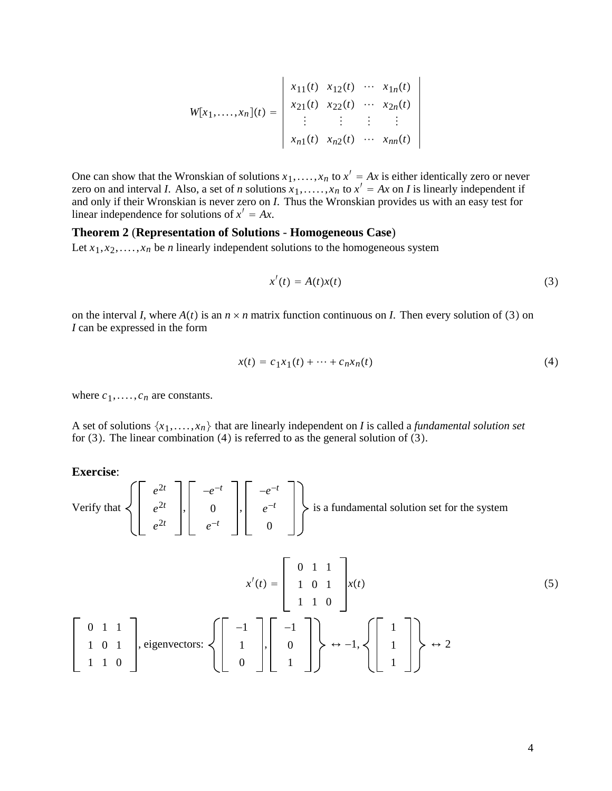$$
W[x_1, \ldots, x_n](t) = \begin{vmatrix} x_{11}(t) & x_{12}(t) & \cdots & x_{1n}(t) \\ x_{21}(t) & x_{22}(t) & \cdots & x_{2n}(t) \\ \vdots & \vdots & \vdots & \vdots \\ x_{n1}(t) & x_{n2}(t) & \cdots & x_{nn}(t) \end{vmatrix}
$$

One can show that the Wronskian of solutions  $x_1, \ldots, x_n$  to  $x' = Ax$  is either identically zero or never zero on and interval *I*. Also, a set of *n* solutions  $x_1, \ldots, x_n$  to  $x' = Ax$  on *I* is linearly independent if and only if their Wronskian is never zero on *I*. Thus the Wronskian provides us with an easy test for linear independence for solutions of  $x' = Ax$ .

### **Theorem 2** (**Representation of Solutions** - **Homogeneous Case**)

Let  $x_1, x_2, \ldots, x_n$  be *n* linearly independent solutions to the homogeneous system

$$
x'(t) = A(t)x(t)
$$
\n(3)

on the interval *I*, where  $A(t)$  is an  $n \times n$  matrix function continuous on *I*. Then every solution of (3) on *I* can be expressed in the form

$$
x(t) = c_1 x_1(t) + \dots + c_n x_n(t)
$$
 (4)

where  $c_1$ ,....,  $c_n$  are constants.

A set of solutions  $\{x_1, \ldots, x_n\}$  that are linearly independent on *I* is called a *fundamental solution set* for  $(3)$ . The linear combination  $(4)$  is referred to as the general solution of  $(3)$ .

**Exercise**:

Verify that 
$$
\left\{ \begin{bmatrix} e^{2t} \\ e^{2t} \\ e^{2t} \end{bmatrix}, \begin{bmatrix} -e^{-t} \\ 0 \\ e^{-t} \end{bmatrix}, \begin{bmatrix} -e^{-t} \\ e^{-t} \\ 0 \end{bmatrix} \right\}
$$
 is a fundamental solution set for the system

$$
x'(t) = \begin{bmatrix} 0 & 1 & 1 \\ 1 & 0 & 1 \\ 1 & 1 & 0 \end{bmatrix} x(t)
$$
\n
$$
\begin{bmatrix} 0 & 1 & 1 \\ 1 & 0 & 1 \\ 1 & 1 & 0 \end{bmatrix}, \text{ eigenvectors: } \left\{ \begin{bmatrix} -1 \\ 1 \\ 0 \end{bmatrix}, \begin{bmatrix} -1 \\ 0 \\ 1 \end{bmatrix} \right\} \leftrightarrow -1, \left\{ \begin{bmatrix} 1 \\ 1 \\ 1 \end{bmatrix} \right\} \leftrightarrow 2
$$
\n(5)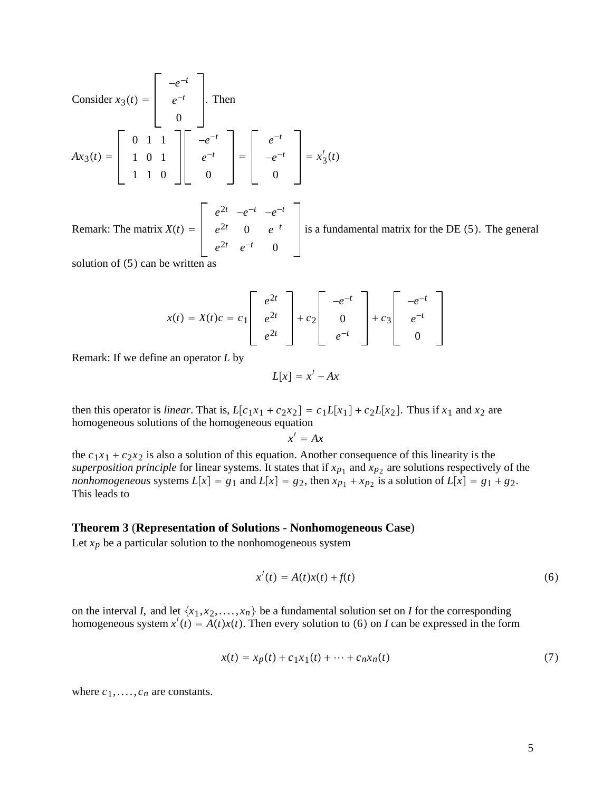Consider 
$$
x_3(t) = \begin{bmatrix} -e^{-t} \\ e^{-t} \\ 0 \end{bmatrix}
$$
. Then  
\n
$$
Ax_3(t) = \begin{bmatrix} 0 & 1 & 1 \\ 1 & 0 & 1 \\ 1 & 1 & 0 \end{bmatrix} \begin{bmatrix} -e^{-t} \\ e^{-t} \\ 0 \end{bmatrix} = \begin{bmatrix} e^{-t} \\ -e^{-t} \\ 0 \end{bmatrix} = x_3'(t)
$$

Remark: The matrix  $X(t) =$ *e*2*<sup>t</sup>* −*e*−*<sup>t</sup>* −*e*−*<sup>t</sup>*  $e^{2t}$  0  $e^{-t}$  $e^{2t}$   $e^{-t}$  0

is a fundamental matrix for the  $DE(5)$ . The general

solution of  $(5)$  can be written

$$
x(t) = X(t)c = c_1 \begin{bmatrix} e^{2t} \\ e^{2t} \\ e^{2t} \end{bmatrix} + c_2 \begin{bmatrix} -e^{-t} \\ 0 \\ e^{-t} \end{bmatrix} + c_3 \begin{bmatrix} -e^{-t} \\ e^{-t} \\ 0 \end{bmatrix}
$$

Remark: If we define an operator *L* by

$$
L[x] = x' - Ax
$$

then this operator is *linear*. That is,  $L[c_1x_1 + c_2x_2] = c_1L[x_1] + c_2L[x_2]$ . Thus if  $x_1$  and  $x_2$  are homogeneous solutions of the homogeneous equation

$$
x' = Ax
$$

the  $c_1x_1 + c_2x_2$  is also a solution of this equation. Another consequence of this linearity is the *superposition principle* for linear systems. It states that if  $x_{p_1}$  and  $x_{p_2}$  are solutions respectively of the *nonhomogeneous* systems  $L[x] = g_1$  and  $L[x] = g_2$ , then  $x_{p_1} + x_{p_2}$  is a solution of  $L[x] = g_1 + g_2$ . This leads to

#### **Theorem 3** (**Representation of Solutions** - **Nonhomogeneous Case**)

Let  $x_p$  be a particular solution to the nonhomogeneous system

$$
x'(t) = A(t)x(t) + f(t)
$$
\n(6)

on the interval *I*, and let  $\{x_1, x_2, \ldots, x_n\}$  be a fundamental solution set on *I* for the corresponding homogeneous system  $x'(t) = A(t)x(t)$ . Then every solution to (6) on *I* can be expressed in the form

$$
x(t) = x_p(t) + c_1 x_1(t) + \dots + c_n x_n(t)
$$
\n(7)

where  $c_1, \ldots, c_n$  are constants.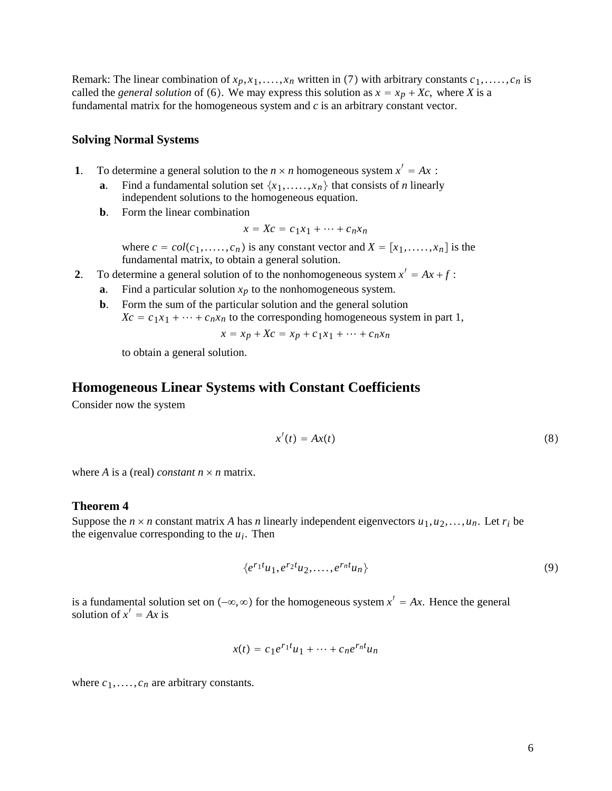Remark: The linear combination of  $x_p, x_1, \ldots, x_n$  written in (7) with arbitrary constants  $c_1, \ldots, c_n$  is called the *general solution* of (6). We may express this solution as  $x = x_p + X_c$ , where *X* is a fundamental matrix for the homogeneous system and *c* is an arbitrary constant vector.

### **Solving Normal Systems**

- **1**. To determine a general solution to the  $n \times n$  homogeneous system  $x' = Ax$ :
	- **a**. Find a fundamental solution set  $\{x_1, \ldots, x_n\}$  that consists of *n* linearly independent solutions to the homogeneous equation.
	- **b**. Form the linear combination

$$
x = Xc = c_1x_1 + \dots + c_nx_n
$$

where  $c = col(c_1, \ldots, c_n)$  is any constant vector and  $X = [x_1, \ldots, x_n]$  is the fundamental matrix, to obtain a general solution.

- **2**. To determine a general solution of to the nonhomogeneous system  $x' = Ax + f$ :
	- **a**. Find a particular solution  $x_p$  to the nonhomogeneous system.
	- **b**. Form the sum of the particular solution and the general solution  $Xc = c_1x_1 + \cdots + c_nx_n$  to the corresponding homogeneous system in part 1,

$$
x = x_p + Xc = x_p + c_1x_1 + \dots + c_nx_n
$$

to obtain a general solution.

# **Homogeneous Linear Systems with Constant Coefficients**

Consider now the system

$$
x'(t) = Ax(t) \tag{8}
$$

where *A* is a (real) *constant*  $n \times n$  matrix.

#### **Theorem 4**

Suppose the  $n \times n$  constant matrix *A* has *n* linearly independent eigenvectors  $u_1, u_2, \ldots, u_n$ . Let  $r_i$  be the eigenvalue corresponding to the  $u_i$ . Then

$$
\left\{e^{r_1t}u_1, e^{r_2t}u_2, \ldots, e^{r_nt}u_n\right\} \tag{9}
$$

is a fundamental solution set on  $(-\infty, \infty)$  for the homogeneous system  $x' = Ax$ . Hence the general solution of  $x' = Ax$  is

$$
x(t) = c_1 e^{r_1 t} u_1 + \dots + c_n e^{r_n t} u_n
$$

where  $c_1, \ldots, c_n$  are arbitrary constants.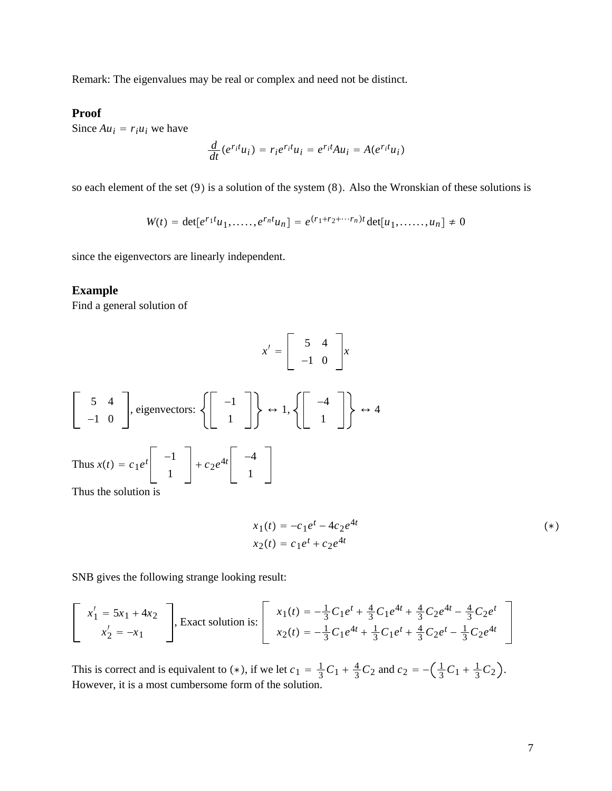Remark: The eigenvalues may be real or complex and need not be distinct.

# **Proof**

Since  $Au_i = r_i u_i$  we have

$$
\frac{d}{dt}(e^{r_i t}u_i) = r_i e^{r_i t}u_i = e^{r_i t}Au_i = A(e^{r_i t}u_i)
$$

so each element of the set  $(9)$  is a solution of the system  $(8)$ . Also the Wronskian of these solutions is

$$
W(t) = \det[e^{r_1 t} u_1, \dots, e^{r_n t} u_n] = e^{(r_1 + r_2 + \dots + r_n)t} \det[u_1, \dots, u_n] \neq 0
$$

since the eigenvectors are linearly independent.

### **Example**

Find a general solution of

$$
x' = \left[ \begin{array}{rr} 5 & 4 \\ -1 & 0 \end{array} \right] x
$$

$$
\begin{bmatrix} 5 & 4 \ -1 & 0 \end{bmatrix}, \text{ eigenvectors:} \left\{ \begin{bmatrix} -1 \ 1 \end{bmatrix} \right\} \leftrightarrow 1, \left\{ \begin{bmatrix} -4 \ 1 \end{bmatrix} \right\} \leftrightarrow 4
$$
  
Thus  $x(t) = c_1 e^t \begin{bmatrix} -1 \ 1 \end{bmatrix} + c_2 e^{4t} \begin{bmatrix} -4 \ 1 \end{bmatrix}$ 

Thus the solution is

$$
x_1(t) = -c_1 e^t - 4c_2 e^{4t}
$$
  
\n
$$
x_2(t) = c_1 e^t + c_2 e^{4t}
$$
 (\*)

SNB gives the following strange looking result:

$$
\begin{bmatrix}\nx_1' = 5x_1 + 4x_2 \\
x_2' = -x_1\n\end{bmatrix},
$$
 Exact solution is: 
$$
\begin{bmatrix}\nx_1(t) = -\frac{1}{3}C_1e^t + \frac{4}{3}C_1e^{4t} + \frac{4}{3}C_2e^{4t} - \frac{4}{3}C_2e^t \\
x_2(t) = -\frac{1}{3}C_1e^{4t} + \frac{1}{3}C_1e^t + \frac{4}{3}C_2e^t - \frac{1}{3}C_2e^{4t} - \frac{1}{3}C_1e^{4t} + \frac{1}{3}C_2e^{4t} - \frac{1}{3}C_2e^{4t} - \frac{1}{3}C_2e^{4t} - \frac{1}{3}C_2e^{4t} - \frac{1}{3}C_2e^{4t} - \frac{1}{3}C_2e^{4t} - \frac{1}{3}C_2e^{4t} - \frac{1}{3}C_2e^{4t} - \frac{1}{3}C_2e^{4t} - \frac{1}{3}C_2e^{4t} - \frac{1}{3}C_2e^{4t} - \frac{1}{3}C_2e^{4t} - \frac{1}{3}C_2e^{4t} - \frac{1}{3}C_2e^{4t} - \frac{1}{3}C_2e^{4t} - \frac{1}{3}C_2e^{4t} - \frac{1}{3}C_2e^{4t} - \frac{1}{3}C_2e^{4t} - \frac{1}{3}C_2e^{4t} - \frac{1}{3}C_2e^{4t} - \frac{1}{3}C_2e^{4t} - \frac{1}{3}C_2e^{4t} - \frac{1}{3}C_2e^{4t} - \frac{1}{3}C_2e^{4t} - \frac{1}{3}C_2e^{4t} - \frac{1}{3}C_2e^{4t} - \frac{1}{3}C_2e^{4t} - \frac{1}{3}C_2e^{4t} - \frac{1}{3}C_2e^{4t} - \frac{1}{3}C_2e^{4t} - \frac{1}{3}C_2e^{4t} - \frac{1}{3}C_2e^{4t} - \frac{1}{3}C_2e^{4t} - \frac{1}{3}C_2e^{4t} - \frac{1}{3}C_
$$

This is correct and is equivalent to (\*), if we let  $c_1 = \frac{1}{3}C_1 + \frac{4}{3}C_2$  and  $c_2 = -(\frac{1}{3}C_1 + \frac{1}{3}C_2)$ . However, it is a most cumbersome form of the solution.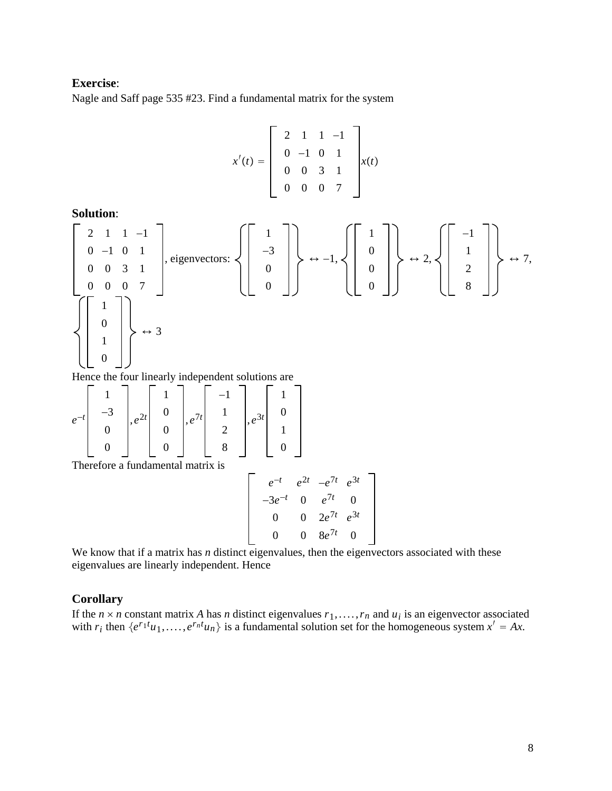# **Exercise**:

Nagle and Saff page 535 #23. Find a fundamental matrix for the system

$$
x'(t) = \begin{bmatrix} 2 & 1 & 1 & -1 \\ 0 & -1 & 0 & 1 \\ 0 & 0 & 3 & 1 \\ 0 & 0 & 0 & 7 \end{bmatrix} x(t)
$$

**Solution**:

$$
\left[\begin{array}{cc} 2 & 1 & 1 & -1 \\ 0 & -1 & 0 & 1 \\ 0 & 0 & 3 & 1 \\ 0 & 0 & 0 & 7 \end{array}\right], \text{eigenvectors: } \left\{\left[\begin{array}{c} 1 \\ -3 \\ 0 \\ 0 \\ 0 \end{array}\right]\right\} \leftrightarrow -1, \left\{\left[\begin{array}{c} 1 \\ 0 \\ 0 \\ 0 \end{array}\right]\right\} \leftrightarrow 2, \left\{\left[\begin{array}{c} -1 \\ 1 \\ 2 \\ 8 \end{array}\right]\right\} \leftrightarrow 7,
$$

Hence the four linearly independent solutions are

$$
e^{-t}\begin{bmatrix} 1 \\ -3 \\ 0 \\ 0 \end{bmatrix}, e^{2t}\begin{bmatrix} 1 \\ 0 \\ 0 \\ 0 \end{bmatrix}, e^{7t}\begin{bmatrix} -1 \\ 1 \\ 2 \\ 8 \end{bmatrix}, e^{3t}\begin{bmatrix} 1 \\ 0 \\ 1 \\ 0 \end{bmatrix}
$$
  
Therefore a fundamental matrix is

$$
e^{-t} e^{2t} -e^{7t} e^{3t}
$$
  
\n
$$
-3e^{-t} 0 e^{7t} 0
$$
  
\n
$$
0 0 2e^{7t} e^{3t}
$$
  
\n
$$
0 0 8e^{7t} 0
$$

We know that if a matrix has *n* distinct eigenvalues, then the eigenvectors associated with these eigenvalues are linearly independent. Hence

# **Corollary**

If the  $n \times n$  constant matrix A has *n* distinct eigenvalues  $r_1, \ldots, r_n$  and  $u_i$  is an eigenvector associated with  $r_i$  then  $\{e^{r_1t}u_1,\ldots,e^{r_nt}u_n\}$  is a fundamental solution set for the homogeneous system  $x' = Ax$ .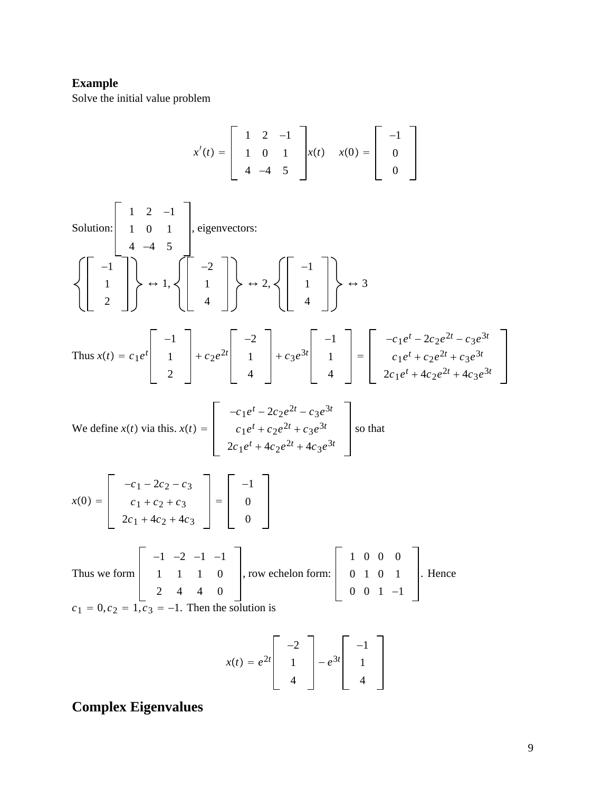# **Example**

Solve the initial value problem

$$
x'(t) = \begin{bmatrix} 1 & 2 & -1 \\ 1 & 0 & 1 \\ 4 & -4 & 5 \end{bmatrix} x(t) \quad x(0) = \begin{bmatrix} -1 \\ 0 \\ 0 \end{bmatrix}
$$

Solution: 1 2 −1 10 1 4 −4 5 , eigenvectors: −1 1 2 ↔ 1, −2 1 4 ↔ 2, −1 1 4 ↔ 3 Thus *xt c*1*e<sup>t</sup>* −1 1 2 *c*2*e*2*<sup>t</sup>* −2 1 4 *c*3*e*3*<sup>t</sup>* −1 1 4 −*c*1*e<sup>t</sup>* − 2*c*2*e*2*<sup>t</sup>* − *c*3*e*3*<sup>t</sup> c*1*e<sup>t</sup> c*2*e*2*<sup>t</sup> c*3*e*3*<sup>t</sup>* 2*c*1*e<sup>t</sup>* 4*c*2*e*2*<sup>t</sup>* 4*c*3*e*3*<sup>t</sup>*

We define 
$$
x(t)
$$
 via this.  $x(t) = \begin{bmatrix} -c_1e^t - 2c_2e^{2t} - c_3e^{3t} \\ c_1e^t + c_2e^{2t} + c_3e^{3t} \\ 2c_1e^t + 4c_2e^{2t} + 4c_3e^{3t} \end{bmatrix}$  so that

$$
x(0) = \begin{bmatrix} -c_1 - 2c_2 - c_3 \\ c_1 + c_2 + c_3 \\ 2c_1 + 4c_2 + 4c_3 \end{bmatrix} = \begin{bmatrix} -1 \\ 0 \\ 0 \end{bmatrix}
$$
  
Thus we form  $\begin{bmatrix} -1 & -2 & -1 & -1 \\ 1 & 1 & 1 & 0 \end{bmatrix}$ , row echelon form:  $\begin{bmatrix} 1 & 0 & 0 & 0 \\ 0 & 1 & 0 & 1 \end{bmatrix}$ . Hence

Thus we form 
$$
\begin{bmatrix} 1 & 1 & 1 & 0 \\ 2 & 4 & 4 & 0 \end{bmatrix}
$$
, row echelon form:  $\begin{bmatrix} 0 & 1 & 0 & 1 \\ 0 & 0 & 1 & -1 \end{bmatrix}$   
 $c_1 = 0, c_2 = 1, c_3 = -1$ . Then the solution is

$$
x(t) = e^{2t} \begin{bmatrix} -2 \\ 1 \\ 4 \end{bmatrix} - e^{3t} \begin{bmatrix} -1 \\ 1 \\ 4 \end{bmatrix}
$$

# **Complex Eigenvalues**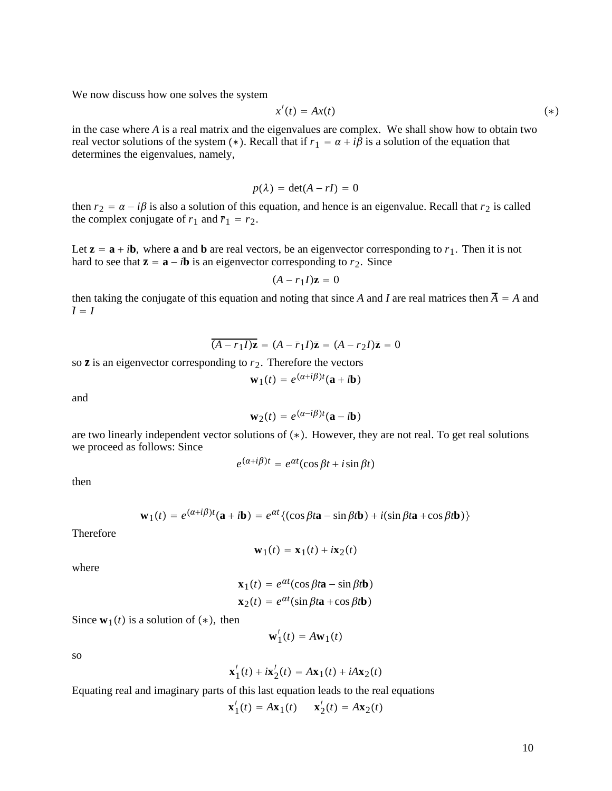We now discuss how one solves the system

$$
x'(t) = Ax(t) \tag{*}
$$

in the case where *A* is a real matrix and the eigenvalues are complex. We shall show how to obtain two real vector solutions of the system (\*). Recall that if  $r_1 = \alpha + i\beta$  is a solution of the equation that determines the eigenvalues, namely,

$$
p(\lambda) = \det(A - rI) = 0
$$

then  $r_2 = \alpha - i\beta$  is also a solution of this equation, and hence is an eigenvalue. Recall that  $r_2$  is called the complex conjugate of  $r_1$  and  $\bar{r}_1 = r_2$ .

Let  $z = a + ib$ , where a and b are real vectors, be an eigenvector corresponding to  $r_1$ . Then it is not hard to see that  $\bar{z} = a - ib$  is an eigenvector corresponding to  $r_2$ . Since

$$
(A - r_1 I)\mathbf{z} = 0
$$

then taking the conjugate of this equation and noting that since *A* and *I* are real matrices then  $\overline{A} = A$  and  $\overline{I} = I$ 

 $\overline{(A - r_1 I)\mathbf{z}} = (A - \overline{r}_1 I)\mathbf{\overline{z}} = (A - r_2 I)\mathbf{\overline{z}} = 0$ 

so  $\bar{z}$  is an eigenvector corresponding to  $r_2$ . Therefore the vectors

$$
\mathbf{w}_1(t) = e^{(\alpha + i\beta)t}(\mathbf{a} + i\mathbf{b})
$$

and

$$
\mathbf{w}_2(t) = e^{(\alpha - i\beta)t}(\mathbf{a} - i\mathbf{b})
$$

are two linearly independent vector solutions of  $(*)$ . However, they are not real. To get real solutions we proceed as follows: Since

$$
e^{(\alpha+i\beta)t} = e^{\alpha t}(\cos\beta t + i\sin\beta t)
$$

then

$$
\mathbf{w}_1(t) = e^{(\alpha + i\beta)t}(\mathbf{a} + i\mathbf{b}) = e^{\alpha t} \{(\cos \beta t \mathbf{a} - \sin \beta t \mathbf{b}) + i(\sin \beta t \mathbf{a} + \cos \beta t \mathbf{b})\}
$$

Therefore

$$
\mathbf{w}_1(t) = \mathbf{x}_1(t) + i\mathbf{x}_2(t)
$$

where

$$
\mathbf{x}_1(t) = e^{\alpha t} (\cos \beta t \mathbf{a} - \sin \beta t \mathbf{b})
$$

$$
\mathbf{x}_2(t) = e^{\alpha t} (\sin \beta t \mathbf{a} + \cos \beta t \mathbf{b})
$$

Since  $\mathbf{w}_1(t)$  is a solution of  $(*)$ , then

$$
\mathbf{w}'_1(t) = A\mathbf{w}_1(t)
$$

so

$$
\mathbf{x}_1'(t) + i\mathbf{x}_2'(t) = A\mathbf{x}_1(t) + iA\mathbf{x}_2(t)
$$

Equating real and imaginary parts of this last equation leads to the real equations

$$
\mathbf{x}'_1(t) = A\mathbf{x}_1(t) \qquad \mathbf{x}'_2(t) = A\mathbf{x}_2(t)
$$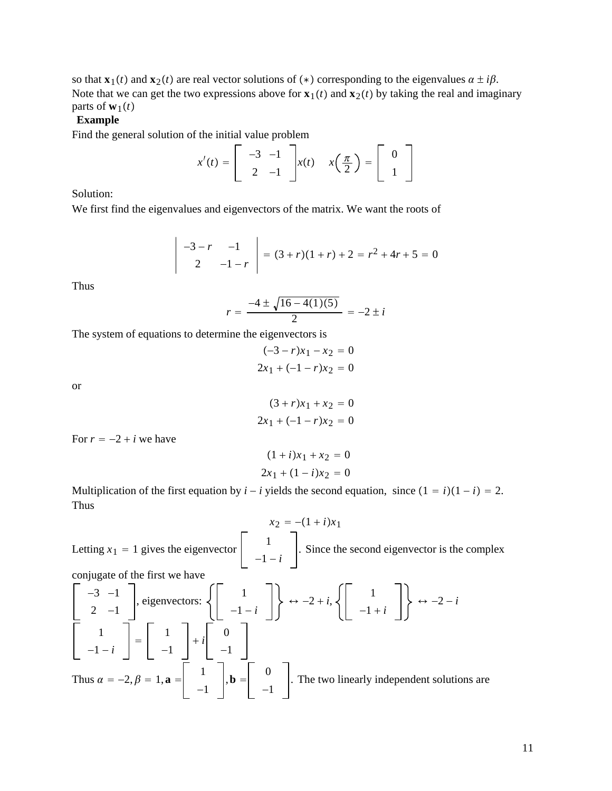so that **x**<sub>1</sub>(*t*) and **x**<sub>2</sub>(*t*) are real vector solutions of (\*) corresponding to the eigenvalues  $\alpha \pm i\beta$ . Note that we can get the two expressions above for  $\mathbf{x}_1(t)$  and  $\mathbf{x}_2(t)$  by taking the real and imaginary parts of  $\mathbf{w}_1(t)$ 

## **Example**

Find the general solution of the initial value problem

$$
x'(t) = \begin{bmatrix} -3 & -1 \\ 2 & -1 \end{bmatrix} x(t) \quad x\left(\frac{\pi}{2}\right) = \begin{bmatrix} 0 \\ 1 \end{bmatrix}
$$

Solution:

We first find the eigenvalues and eigenvectors of the matrix. We want the roots of

$$
\begin{vmatrix} -3-r & -1 \\ 2 & -1-r \end{vmatrix} = (3+r)(1+r) + 2 = r^2 + 4r + 5 = 0
$$

Thus

$$
r = \frac{-4 \pm \sqrt{16 - 4(1)(5)}}{2} = -2 \pm i
$$

The system of equations to determine the eigenvectors is

$$
(-3 - r)x_1 - x_2 = 0
$$
  

$$
2x_1 + (-1 - r)x_2 = 0
$$

or

$$
(3+r)x_1 + x_2 = 0
$$
  
2x<sub>1</sub> + (-1 - r)x<sub>2</sub> = 0

For  $r = -2 + i$  we have

$$
(1 + i)x_1 + x_2 = 0
$$
  

$$
2x_1 + (1 - i)x_2 = 0
$$

Multiplication of the first equation by  $i - i$  yields the second equation, since  $(1 - i)(1 - i) = 2$ . Thus

 $x_2 = -(1 + i)x_1$ Letting  $x_1 = 1$  gives the eigenvector  $\begin{vmatrix} 1 \\ -1 - i \end{vmatrix}$ . Since the second eigenvector is the complex conjugate of the first we have

$$
\begin{bmatrix} -3 & -1 \ 2 & -1 \end{bmatrix}
$$
, eigenvectors: 
$$
\left\{ \begin{bmatrix} 1 \ -1 - i \end{bmatrix} \right\} \leftrightarrow -2 + i, \left\{ \begin{bmatrix} 1 \ -1 + i \end{bmatrix} \right\} \leftrightarrow -2 - i
$$
  

$$
\begin{bmatrix} 1 \ -1 - i \end{bmatrix} = \begin{bmatrix} 1 \ -1 \end{bmatrix} + i \begin{bmatrix} 0 \ -1 \end{bmatrix}
$$
  
Thus  $\alpha = -2, \beta = 1, \mathbf{a} = \begin{bmatrix} 1 \ 1 \ -1 \end{bmatrix}$ ,  $\mathbf{b} = \begin{bmatrix} 0 \ -1 \end{bmatrix}$ . The two linearly independent solutions are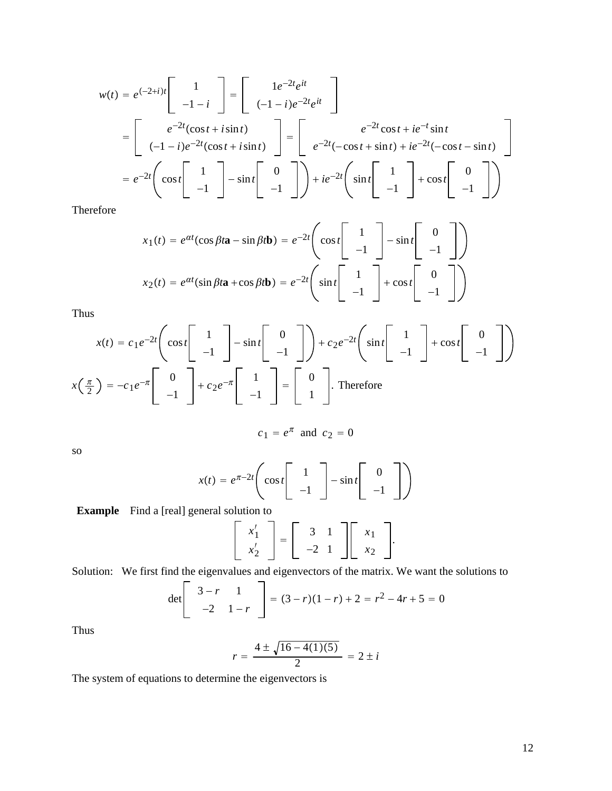$$
w(t) = e^{(-2+i)t} \begin{bmatrix} 1 \\ -1-i \end{bmatrix} = \begin{bmatrix} 1e^{-2t}e^{it} \\ (-1-i)e^{-2t}e^{it} \end{bmatrix}
$$
  
= 
$$
\begin{bmatrix} e^{-2t}(\cos t + i\sin t) \\ (-1-i)e^{-2t}(\cos t + i\sin t) \end{bmatrix} = \begin{bmatrix} e^{-2t}\cos t + ie^{-t}\sin t \\ e^{-2t}(-\cos t + \sin t) + ie^{-2t}(-\cos t - \sin t) \end{bmatrix}
$$
  
= 
$$
e^{-2t} \begin{bmatrix} \cos t \begin{bmatrix} 1 \\ -1 \end{bmatrix} - \sin t \begin{bmatrix} 0 \\ -1 \end{bmatrix} \end{bmatrix} + ie^{-2t} \begin{bmatrix} \sin t \begin{bmatrix} 1 \\ -1 \end{bmatrix} + \cos t \begin{bmatrix} 0 \\ -1 \end{bmatrix} \end{bmatrix}
$$

Therefore

$$
x_1(t) = e^{\alpha t} (\cos \beta t \mathbf{a} - \sin \beta t \mathbf{b}) = e^{-2t} \left( \cos t \begin{bmatrix} 1 \\ -1 \end{bmatrix} - \sin t \begin{bmatrix} 0 \\ -1 \end{bmatrix} \right)
$$

$$
x_2(t) = e^{\alpha t} (\sin \beta t \mathbf{a} + \cos \beta t \mathbf{b}) = e^{-2t} \left( \sin t \begin{bmatrix} 1 \\ -1 \end{bmatrix} + \cos t \begin{bmatrix} 0 \\ -1 \end{bmatrix} \right)
$$

Thus

$$
x(t) = c_1 e^{-2t} \left( \cos t \begin{bmatrix} 1 \\ -1 \end{bmatrix} - \sin t \begin{bmatrix} 0 \\ -1 \end{bmatrix} \right) + c_2 e^{-2t} \left( \sin t \begin{bmatrix} 1 \\ -1 \end{bmatrix} + \cos t \begin{bmatrix} 0 \\ -1 \end{bmatrix} \right)
$$

$$
x\left(\frac{\pi}{2}\right) = -c_1 e^{-\pi} \begin{bmatrix} 0 \\ -1 \end{bmatrix} + c_2 e^{-\pi} \begin{bmatrix} 1 \\ -1 \end{bmatrix} = \begin{bmatrix} 0 \\ 1 \end{bmatrix}. \text{ Therefore}
$$

$$
c_1 = e^{\pi} \text{ and } c_2 = 0
$$

so

$$
x(t) = e^{\pi - 2t} \left( \cos t \begin{bmatrix} 1 \\ -1 \end{bmatrix} - \sin t \begin{bmatrix} 0 \\ -1 \end{bmatrix} \right)
$$

**Example** Find a [real] general solution to

$$
\left[\begin{array}{c} x_1' \\ x_2' \end{array}\right] = \left[\begin{array}{cc} 3 & 1 \\ -2 & 1 \end{array}\right] \left[\begin{array}{c} x_1 \\ x_2 \end{array}\right].
$$

Solution: We first find the eigenvalues and eigenvectors of the matrix. We want the solutions to  $\overline{ }$ 

$$
\det \left[ \begin{array}{cc} 3-r & 1 \\ -2 & 1-r \end{array} \right] = (3-r)(1-r) + 2 = r^2 - 4r + 5 = 0
$$

Thus

$$
r = \frac{4 \pm \sqrt{16 - 4(1)(5)}}{2} = 2 \pm i
$$

The system of equations to determine the eigenvectors is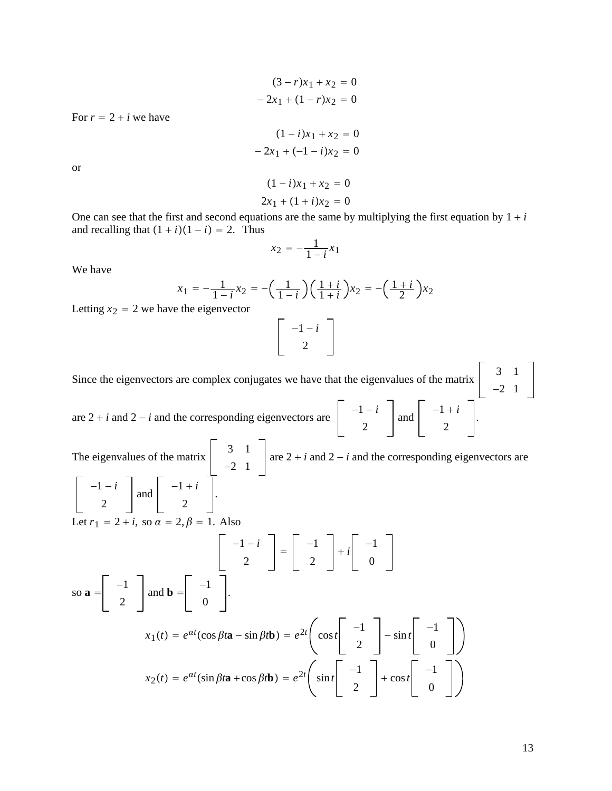$$
(3 - r)x_1 + x_2 = 0
$$
  
- 2x<sub>1</sub> + (1 - r)x<sub>2</sub> = 0

For  $r = 2 + i$  we have

$$
(1 - i)x_1 + x_2 = 0
$$
  
- 2x<sub>1</sub> + (-1 - i)x<sub>2</sub> = 0

or

$$
(1 - i)x_1 + x_2 = 0
$$
  

$$
2x_1 + (1 + i)x_2 = 0
$$

One can see that the first and second equations are the same by multiplying the first equation by  $1 + i$ and recalling that  $(1 + i)(1 - i) = 2$ . Thus

$$
x_2 = -\frac{1}{1-i}x_1
$$

We have

$$
x_1 = -\frac{1}{1-i}x_2 = -\left(\frac{1}{1-i}\right)\left(\frac{1+i}{1+i}\right)x_2 = -\left(\frac{1+i}{2}\right)x_2
$$

Letting  $x_2 = 2$  we have the eigenvector

$$
\left[\begin{array}{c} -1-i \\ 2 \end{array}\right]
$$

Since the eigenvectors are complex conjugates we have that the eigenvalues of the matrix  $\begin{vmatrix} 3 & 1 \\ 2 & 3 \end{vmatrix}$ −2 1 are  $2 + i$  and  $2 - i$  and the corresponding eigenvectors are  $\begin{vmatrix} -1 - i \\ i \end{vmatrix}$ 2 and  $\begin{vmatrix} -1+i \\ 2 \end{vmatrix}$ .

The eigenvalues of the matrix  $\begin{vmatrix} 3 & 1 \\ 1 & 3 \end{vmatrix}$ −2 1 are  $2 + i$  and  $2 - i$  and the corresponding eigenvectors are −1 − *i* 2 and  $\begin{vmatrix} -1+i \\ 2 \end{vmatrix}$ . Let  $r_1 = 2 + i$ , so  $\alpha = 2, \beta = 1$ . Also  $\begin{vmatrix} -1 - i \\ 2 \end{vmatrix} = \begin{vmatrix} -1 \\ 2 \end{vmatrix}$  $\begin{vmatrix} -1 \\ -1 \end{vmatrix}$ 0 so  $\mathbf{a} = \begin{vmatrix} -1 \\ -1 \end{vmatrix}$ 2 and **b** =  $\begin{vmatrix} -1 \\ 0 \end{vmatrix}$ .  $x_1(t) = e^{\alpha t}(\cos \beta t \mathbf{a} - \sin \beta t \mathbf{b}) = e^{2t} \begin{pmatrix} \cos t & -1 \\ 2 & -\sin t \end{pmatrix} - \frac{1}{0}$  $x_2(t) = e^{\alpha t} (\sin \beta t \mathbf{a} + \cos \beta t \mathbf{b}) = e^{2t} \begin{pmatrix} 1 & -1 \\ 0 & 1 \end{pmatrix}$ 2  $+\cos t$  <sup>-1</sup> 0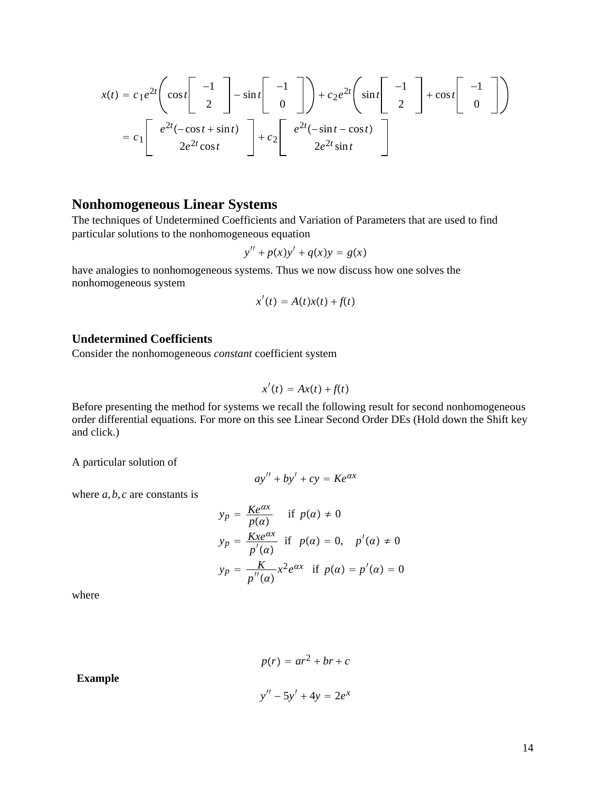$$
x(t) = c_1 e^{2t} \left( \cos t \begin{bmatrix} -1 \\ 2 \end{bmatrix} - \sin t \begin{bmatrix} -1 \\ 0 \end{bmatrix} \right) + c_2 e^{2t} \left( \sin t \begin{bmatrix} -1 \\ 2 \end{bmatrix} + \cos t \begin{bmatrix} -1 \\ 0 \end{bmatrix} \right)
$$

$$
= c_1 \begin{bmatrix} e^{2t}(-\cos t + \sin t) \\ 2e^{2t}\cos t \end{bmatrix} + c_2 \begin{bmatrix} e^{2t}(-\sin t - \cos t) \\ 2e^{2t}\sin t \end{bmatrix}
$$

# **Nonhomogeneous Linear Systems**

The techniques of Undetermined Coefficients and Variation of Parameters that are used to find particular solutions to the nonhomogeneous equation

$$
y'' + p(x)y' + q(x)y = g(x)
$$

have analogies to nonhomogeneous systems. Thus we now discuss how one solves the nonhomogeneous system

$$
x'(t) = A(t)x(t) + f(t)
$$

### **Undetermined Coefficients**

Consider the nonhomogeneous *constant* coefficient system

$$
x'(t) = Ax(t) + f(t)
$$

Before presenting the method for systems we recall the following result for second nonhomogeneous order differential equations. For more on this see Linear Second Order DEs (Hold down the Shift key and click.)

A particular solution of

$$
ay'' + by' + cy = Ke^{\alpha x}
$$

where  $a, b, c$  are constants is

$$
y_p = \frac{Ke^{\alpha x}}{p(\alpha)} \quad \text{if } p(\alpha) \neq 0
$$
  
\n
$$
y_p = \frac{Kxe^{\alpha x}}{p'(\alpha)} \quad \text{if } p(\alpha) = 0, \quad p'(\alpha) \neq 0
$$
  
\n
$$
y_p = \frac{K}{p''(\alpha)} x^2 e^{\alpha x} \quad \text{if } p(\alpha) = p'(\alpha) = 0
$$

where

$$
p(r) = ar2 + br + c
$$

$$
y'' - 5y' + 4y = 2ex
$$

**Example**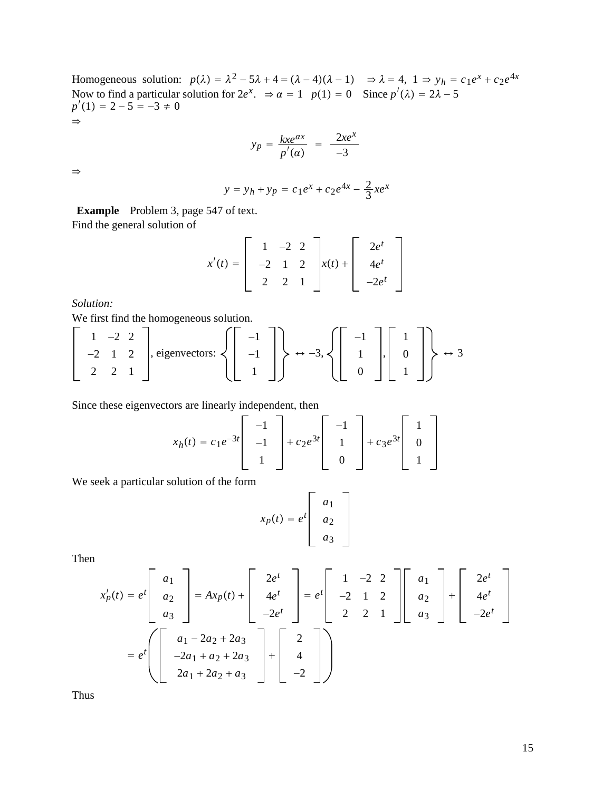Homogeneous solution:  $p(\lambda) = \lambda^2 - 5\lambda + 4 = (\lambda - 4)(\lambda - 1) \Rightarrow \lambda = 4, 1 \Rightarrow y_h = c_1 e^x + c_2 e^{4x}$ Now to find a particular solution for  $2e^x$ .  $\Rightarrow \alpha = 1$   $p(1) = 0$  Since  $p'(\lambda) = 2\lambda - 5$  $p'(1) = 2 - 5 = -3 \neq 0$  $\Rightarrow$ 

$$
y_p = \frac{kxe^{\alpha x}}{p'(\alpha)} = \frac{2xe^x}{-3}
$$

 $\Rightarrow$ 

$$
y = y_h + y_p = c_1 e^x + c_2 e^{4x} - \frac{2}{3} x e^x
$$

**Example** Problem 3, page 547 of text. Find the general solution of

$$
x'(t) = \begin{bmatrix} 1 & -2 & 2 \\ -2 & 1 & 2 \\ 2 & 2 & 1 \end{bmatrix} x(t) + \begin{bmatrix} 2e^t \\ 4e^t \\ -2e^t \end{bmatrix}
$$

*Solution:*

We first find the homogeneous solution.

$$
\left[\begin{array}{rrr}1 & -2 & 2 \\ -2 & 1 & 2 \\ 2 & 2 & 1\end{array}\right], \text{eigenvectors: } \left\{\left[\begin{array}{r} -1 \\ -1 \\ 1 \end{array}\right]\right\} \leftrightarrow -3, \left\{\left[\begin{array}{r} -1 \\ 1 \\ 0 \end{array}\right], \left[\begin{array}{r} 1 \\ 0 \\ 1 \end{array}\right]\right\} \leftrightarrow 3
$$

Since these eigenvectors are linearly independent, then

$$
x_h(t) = c_1 e^{-3t} \begin{bmatrix} -1 \\ -1 \\ 1 \end{bmatrix} + c_2 e^{3t} \begin{bmatrix} -1 \\ 1 \\ 0 \end{bmatrix} + c_3 e^{3t} \begin{bmatrix} 1 \\ 0 \\ 1 \end{bmatrix}
$$

We seek a particular solution of the form

$$
x_p(t) = e^t \begin{bmatrix} a_1 \\ a_2 \\ a_3 \end{bmatrix}
$$

Then

$$
x'_{p}(t) = e^{t} \begin{bmatrix} a_{1} \\ a_{2} \\ a_{3} \end{bmatrix} = Ax_{p}(t) + \begin{bmatrix} 2e^{t} \\ 4e^{t} \\ -2e^{t} \end{bmatrix} = e^{t} \begin{bmatrix} 1 & -2 & 2 \\ -2 & 1 & 2 \\ 2 & 2 & 1 \end{bmatrix} \begin{bmatrix} a_{1} \\ a_{2} \\ a_{3} \end{bmatrix} + \begin{bmatrix} 2e^{t} \\ 4e^{t} \\ -2e^{t} \end{bmatrix}
$$

$$
= e^{t} \begin{bmatrix} a_{1} - 2a_{2} + 2a_{3} \\ -2a_{1} + a_{2} + 2a_{3} \\ 2a_{1} + 2a_{2} + a_{3} \end{bmatrix} + \begin{bmatrix} 2 \\ 4 \\ -2 \end{bmatrix}
$$

Thus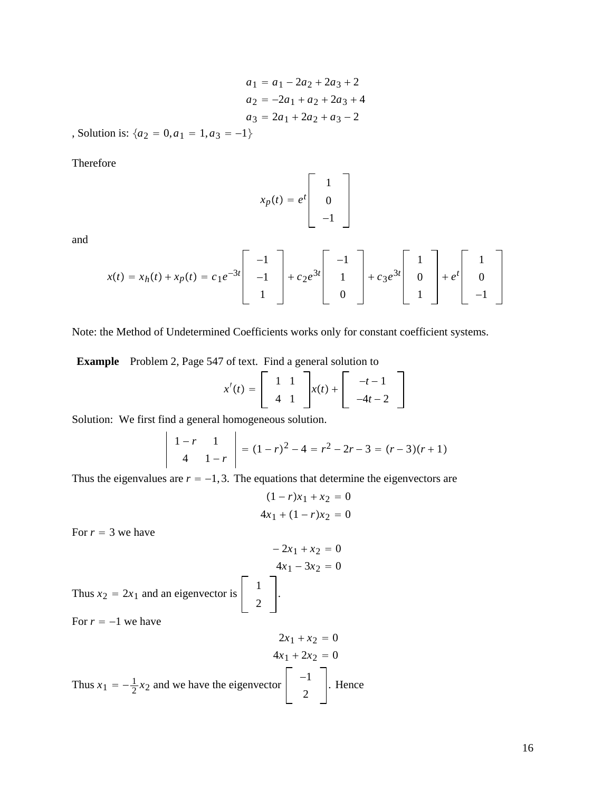$$
a_1 = a_1 - 2a_2 + 2a_3 + 2
$$
  
\n
$$
a_2 = -2a_1 + a_2 + 2a_3 + 4
$$
  
\n
$$
a_3 = 2a_1 + 2a_2 + a_3 - 2
$$

, Solution is:  $\{a_2 = 0, a_1 = 1, a_3 = -1\}$ 

Therefore

$$
x_p(t) = e^t \begin{bmatrix} 1 \\ 0 \\ -1 \end{bmatrix}
$$

and

$$
x(t) = x_h(t) + x_p(t) = c_1 e^{-3t} \begin{bmatrix} -1 \\ -1 \\ 1 \end{bmatrix} + c_2 e^{3t} \begin{bmatrix} -1 \\ 1 \\ 0 \end{bmatrix} + c_3 e^{3t} \begin{bmatrix} 1 \\ 0 \\ 1 \end{bmatrix} + e^{t} \begin{bmatrix} 1 \\ 0 \\ -1 \end{bmatrix}
$$

Note: the Method of Undetermined Coefficients works only for constant coefficient systems.

**Example** Problem 2, Page 547 of text. Find a general solution to

$$
x'(t) = \begin{bmatrix} 1 & 1 \\ 4 & 1 \end{bmatrix} x(t) + \begin{bmatrix} -t - 1 \\ -4t - 2 \end{bmatrix}
$$

Solution: We first find a general homogeneous solution.

$$
\begin{vmatrix} 1-r & 1 \\ 4 & 1-r \end{vmatrix} = (1-r)^2 - 4 = r^2 - 2r - 3 = (r-3)(r+1)
$$

Thus the eigenvalues are  $r = -1, 3$ . The equations that determine the eigenvectors are

$$
(1 - r)x_1 + x_2 = 0
$$
  
4x<sub>1</sub> + (1 - r)x<sub>2</sub> = 0

For  $r = 3$  we have

$$
-2x_1 + x_2 = 0
$$
  
\n
$$
4x_1 - 3x_2 = 0
$$
  
\nThus  $x_2 = 2x_1$  and an eigenvector is  $\begin{bmatrix} 1 \\ 2 \end{bmatrix}$ .  
\nFor  $r = -1$  we have

$$
2x_1 + x_2 = 0
$$
  
\n
$$
4x_1 + 2x_2 = 0
$$
  
\nThus  $x_1 = -\frac{1}{2}x_2$  and we have the eigenvector  $\begin{bmatrix} -1 \\ 2 \end{bmatrix}$ . Hence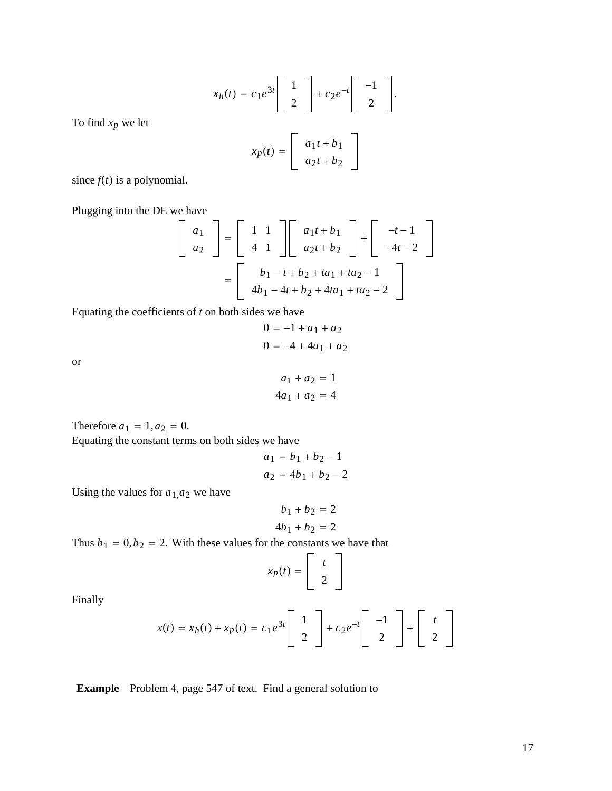$$
x_h(t) = c_1 e^{3t} \begin{bmatrix} 1 \\ 2 \end{bmatrix} + c_2 e^{-t} \begin{bmatrix} -1 \\ 2 \end{bmatrix}.
$$

$$
x_p(t) = \begin{bmatrix} a_1 t + b_1 \\ a_2 t + b_2 \end{bmatrix}
$$

To find *xp* we let

since 
$$
f(t)
$$
 is a polynomial.

Plugging into the DE we have

$$
\begin{bmatrix}\na_1 \\
a_2\n\end{bmatrix} = \begin{bmatrix}\n1 & 1 \\
4 & 1\n\end{bmatrix} \begin{bmatrix}\na_1t + b_1 \\
a_2t + b_2\n\end{bmatrix} + \begin{bmatrix}\n-t-1 \\
-4t-2\n\end{bmatrix}
$$
\n
$$
= \begin{bmatrix}\nb_1 - t + b_2 + ta_1 + ta_2 - 1 \\
4b_1 - 4t + b_2 + 4ta_1 + ta_2 - 2\n\end{bmatrix}
$$

Equating the coefficients of *t* on both sides we have

$$
0 = -1 + a1 + a2
$$

$$
0 = -4 + 4a1 + a2
$$

or

$$
a_1 + a_2 = 1
$$
  

$$
4a_1 + a_2 = 4
$$

Therefore  $a_1 = 1, a_2 = 0$ . Equating the constant terms on both sides we have

$$
a_1 = b_1 + b_2 - 1
$$
  

$$
a_2 = 4b_1 + b_2 - 2
$$

Using the values for  $a_{1,}a_{2}$  we have

$$
b_1 + b_2 = 2
$$
  

$$
4b_1 + b_2 = 2
$$

Thus  $b_1 = 0, b_2 = 2$ . With these values for the constants we have that

$$
x_p(t) = \left[ \begin{array}{c} t \\ 2 \end{array} \right]
$$

Finally

$$
x(t) = x_h(t) + x_p(t) = c_1 e^{3t} \begin{bmatrix} 1 \\ 2 \end{bmatrix} + c_2 e^{-t} \begin{bmatrix} -1 \\ 2 \end{bmatrix} + \begin{bmatrix} t \\ 2 \end{bmatrix}
$$

**Example** Problem 4, page 547 of text. Find a general solution to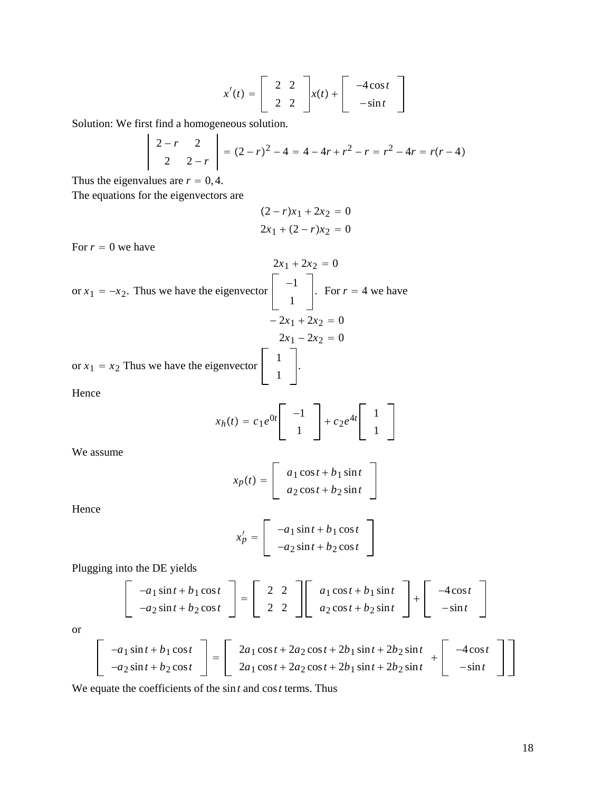$$
x'(t) = \begin{bmatrix} 2 & 2 \\ 2 & 2 \end{bmatrix} x(t) + \begin{bmatrix} -4\cos t \\ -\sin t \end{bmatrix}
$$

Solution: We first find a homogeneous solution.  $\mathcal{L}$ 

$$
\left|\begin{array}{cc} 2-r & 2 \\ 2 & 2-r \end{array}\right| = (2-r)^2 - 4 = 4 - 4r + r^2 - r = r^2 - 4r = r(r-4)
$$

Thus the eigenvalues are  $r = 0, 4$ .

The equations for the eigenvectors are

$$
(2 - r)x_1 + 2x_2 = 0
$$
  

$$
2x_1 + (2 - r)x_2 = 0
$$

For  $r = 0$  we have

$$
2x_1 + 2x_2 = 0
$$
  
or  $x_1 = -x_2$ . Thus we have the eigenvector  $\begin{bmatrix} -1 \\ -1 \\ 1 \end{bmatrix}$ . For  $r = 4$  we have  
 $-2x_1 + 2x_2 = 0$   
or  $x_1 = x_2$  Thus we have the eigenvector  $\begin{bmatrix} 1 \\ 1 \\ 1 \end{bmatrix}$ .  
Hence

$$
x_h(t) = c_1 e^{0t} \begin{bmatrix} -1 \\ 1 \end{bmatrix} + c_2 e^{4t} \begin{bmatrix} 1 \\ 1 \end{bmatrix}
$$

We assume

$$
x_p(t) = \begin{bmatrix} a_1 \cos t + b_1 \sin t \\ a_2 \cos t + b_2 \sin t \end{bmatrix}
$$

Hence

$$
x'_{p} = \begin{bmatrix} -a_1 \sin t + b_1 \cos t \\ -a_2 \sin t + b_2 \cos t \end{bmatrix}
$$

Plugging into the DE yields

$$
\begin{bmatrix} -a_1 \sin t + b_1 \cos t \\ -a_2 \sin t + b_2 \cos t \end{bmatrix} = \begin{bmatrix} 2 & 2 \\ 2 & 2 \end{bmatrix} \begin{bmatrix} a_1 \cos t + b_1 \sin t \\ a_2 \cos t + b_2 \sin t \end{bmatrix} + \begin{bmatrix} -4 \cos t \\ -\sin t \end{bmatrix}
$$

or

$$
\begin{bmatrix}\n-a_1 \sin t + b_1 \cos t \\
-a_2 \sin t + b_2 \cos t\n\end{bmatrix} = \begin{bmatrix}\n2a_1 \cos t + 2a_2 \cos t + 2b_1 \sin t + 2b_2 \sin t \\
2a_1 \cos t + 2a_2 \cos t + 2b_1 \sin t + 2b_2 \sin t\n\end{bmatrix} + \begin{bmatrix}\n-4 \cos t \\
-\sin t\n\end{bmatrix}
$$

We equate the coefficients of the sin*t* and cos*t* terms. Thus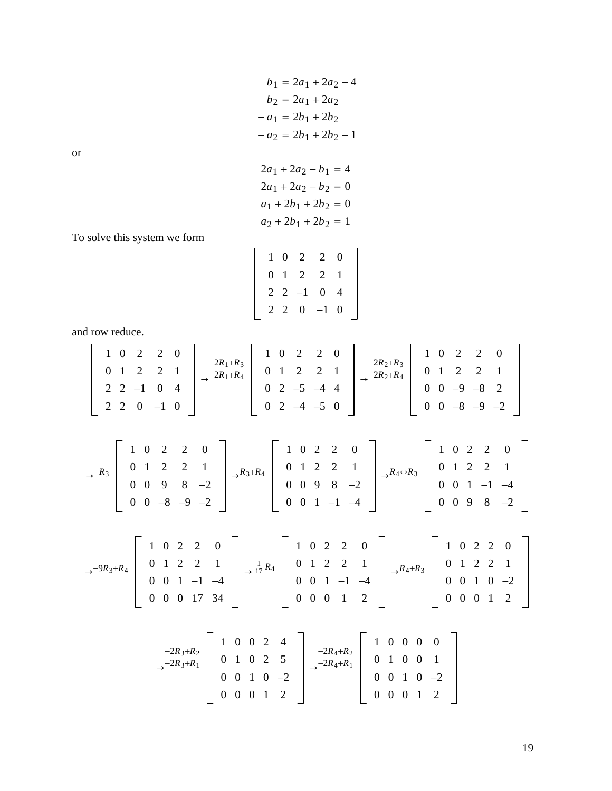$$
b_1 = 2a_1 + 2a_2 - 4
$$
  
\n
$$
b_2 = 2a_1 + 2a_2
$$
  
\n
$$
-a_1 = 2b_1 + 2b_2
$$
  
\n
$$
-a_2 = 2b_1 + 2b_2 - 1
$$

or

$$
2a_1 + 2a_2 - b_1 = 4
$$
  
\n
$$
2a_1 + 2a_2 - b_2 = 0
$$
  
\n
$$
a_1 + 2b_1 + 2b_2 = 0
$$
  
\n
$$
a_2 + 2b_1 + 2b_2 = 1
$$

To solve this system we form

|  |  | $1 \t0 \t2 \t2 \t0$   |  |
|--|--|-----------------------|--|
|  |  | $0 \t1 \t2 \t2 \t1$   |  |
|  |  | $2$ 2 -1 0 4          |  |
|  |  | $2 \t2 \t0 \t -1 \t0$ |  |
|  |  |                       |  |

and row reduce.

$$
\begin{bmatrix}\n1 & 0 & 2 & 2 & 0 \\
0 & 1 & 2 & 2 & 1 \\
2 & 2 & -1 & 0 & 4 \\
2 & 2 & 0 & -1 & 0\n\end{bmatrix}\n\rightarrow \n\begin{bmatrix}\n-2R_1 + R_3 \\
-2R_1 + R_4 \\
0 & 2 & -5 & -4 & 4 \\
0 & 2 & -4 & -5 & 0\n\end{bmatrix}\n\rightarrow \n\begin{bmatrix}\n-2R_2 + R_3 \\
-2R_2 + R_4 \\
0 & 0 & -9 & -8 & 2 \\
0 & 0 & -9 & -2 & 0\n\end{bmatrix}
$$
\n
$$
\rightarrow \n\begin{bmatrix}\n1 & 0 & 2 & 2 & 0 \\
0 & 1 & 2 & 2 & 1 \\
0 & 0 & 9 & 8 & -2 \\
0 & 0 & -8 & -9 & -2\n\end{bmatrix}\n\rightarrow \n\begin{bmatrix}\n1 & 0 & 2 & 2 & 0 \\
-2R_3 + R_4 \\
0 & 1 & 2 & 2 & 1 \\
0 & 0 & 9 & 8 & -2 \\
0 & 0 & 1 & -1 & -4\n\end{bmatrix}\n\rightarrow \n\begin{bmatrix}\n1 & 0 & 2 & 2 & 0 \\
0 & 1 & 2 & 2 & 1 \\
0 & 0 & 1 & -1 & -4 \\
0 & 0 & 9 & 8 & -2\n\end{bmatrix}\n\rightarrow \n\begin{bmatrix}\n1 & 0 & 2 & 2 & 0 \\
0 & 1 & 2 & 2 & 1 \\
0 & 0 & 1 & -1 & -4 \\
0 & 0 & 0 & 1 & 2\n\end{bmatrix}\n\rightarrow \n\begin{bmatrix}\n1 & 0 & 2 & 2 & 0 \\
0 & 1 & 2 & 2 & 1 \\
0 & 0 & 1 & -1 & -4 \\
0 & 0 & 0 & 1 & 2\n\end{bmatrix}\n\rightarrow \n\begin{bmatrix}\n1 & 0 & 2 & 2 & 0 \\
0 & 1 & 2 & 2 & 1 \\
0 & 0 & 1 & -1 & -4 \\
0 & 0 & 0 & 1 & 2\n\end{bmatrix}\n\rightarrow \n\begin{bmatrix}\n1 & 0 & 2 & 2 & 0 \\
0 & 1 & 2 & 2 & 1 \\
0 & 0 & 1 & -1 & -4 \\
0 & 0 & 0 & 1 & 2\n\end{bmatrix}\n\rightarrow \n\begin{bmatrix}\n1 & 0 & 2 & 2 &
$$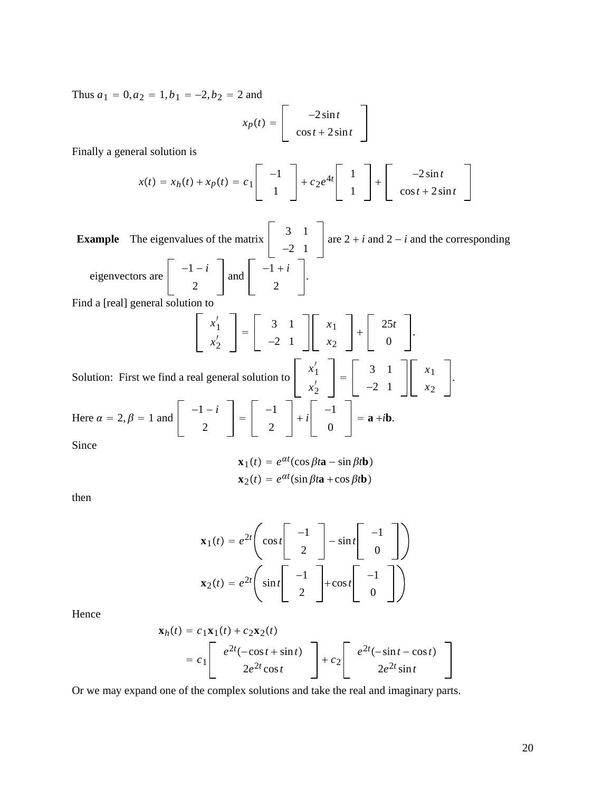Thus  $a_1 = 0$ ,  $a_2 = 1$ ,  $b_1 = -2$ ,  $b_2 = 2$  and

$$
x_p(t) = \begin{bmatrix} -2\sin t \\ \cos t + 2\sin t \end{bmatrix}
$$

Finally a general solution is

$$
x(t) = x_h(t) + x_p(t) = c_1 \begin{bmatrix} -1 \\ 1 \end{bmatrix} + c_2 e^{4t} \begin{bmatrix} 1 \\ 1 \end{bmatrix} + \begin{bmatrix} -2\sin t \\ \cos t + 2\sin t \end{bmatrix}
$$

**Example** The eigenvalues of the matrix <sup>3</sup> 1 −2 1 are  $2 + i$  and  $2 - i$  and the corresponding eigenvectors are  $\begin{vmatrix} -1 - i \end{vmatrix}$ 2 and  $\begin{vmatrix} -1+i \\ 2 \end{vmatrix}$ . Find a [real] general solution to  $x'_1$  $\begin{bmatrix} x'_1 \\ x'_2 \end{bmatrix} = \begin{bmatrix} 3 & 1 \\ -2 & 1 \end{bmatrix}$ *x*1 *x*2  $\ddot{}$  $\begin{matrix} 25t \\ 0 \end{matrix}$ . Solution: First we find a real general solution to  $\begin{vmatrix} x'_1 \\ y'_2 \end{vmatrix}$  $\begin{bmatrix} x'_1 \\ x'_2 \end{bmatrix} = \begin{bmatrix} 3 & 1 \\ -2 & 1 \end{bmatrix}$ *x*1 *x*2 . Here  $\alpha = 2, \beta = 1$  and  $\begin{vmatrix} -1 - i \\ 2 \end{vmatrix} = \begin{vmatrix} -1 \\ 2 \end{vmatrix}$  $\begin{vmatrix} -1 \\ 0 \end{vmatrix} = \mathbf{a} + i\mathbf{b}.$ 

Since

$$
\mathbf{x}_1(t) = e^{\alpha t} (\cos \beta t \mathbf{a} - \sin \beta t \mathbf{b})
$$

$$
\mathbf{x}_2(t) = e^{\alpha t} (\sin \beta t \mathbf{a} + \cos \beta t \mathbf{b})
$$

then

$$
\mathbf{x}_1(t) = e^{2t} \left( \cos t \begin{bmatrix} -1 \\ 2 \end{bmatrix} - \sin t \begin{bmatrix} -1 \\ 0 \end{bmatrix} \right)
$$

$$
\mathbf{x}_2(t) = e^{2t} \left( \sin t \begin{bmatrix} -1 \\ 2 \end{bmatrix} + \cos t \begin{bmatrix} -1 \\ 0 \end{bmatrix} \right)
$$

Hence

$$
\mathbf{x}_h(t) = c_1 \mathbf{x}_1(t) + c_2 \mathbf{x}_2(t)
$$
  
= 
$$
c_1 \begin{bmatrix} e^{2t}(-\cos t + \sin t) \\ 2e^{2t} \cos t \end{bmatrix} + c_2 \begin{bmatrix} e^{2t}(-\sin t - \cos t) \\ 2e^{2t} \sin t \end{bmatrix}
$$

Or we may expand one of the complex solutions and take the real and imaginary parts.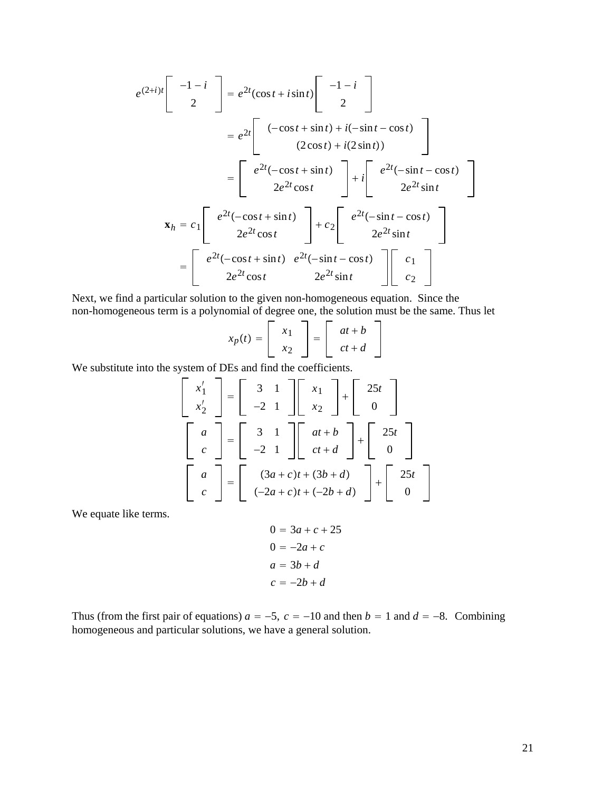$$
e^{(2+i)t}\begin{bmatrix} -1-i \\ 2 \end{bmatrix} = e^{2t}(\cos t + i\sin t)\begin{bmatrix} -1-i \\ 2 \end{bmatrix}
$$
  
\n
$$
= e^{2t}\begin{bmatrix} (-\cos t + \sin t) + i(-\sin t - \cos t) \\ (2\cos t) + i(2\sin t) \end{bmatrix}
$$
  
\n
$$
= \begin{bmatrix} e^{2t}(-\cos t + \sin t) \\ 2e^{2t}\cos t \end{bmatrix} + i\begin{bmatrix} e^{2t}(-\sin t - \cos t) \\ 2e^{2t}\sin t \end{bmatrix}
$$
  
\n
$$
\mathbf{x}_h = c_1 \begin{bmatrix} e^{2t}(-\cos t + \sin t) \\ 2e^{2t}\cos t \end{bmatrix} + c_2 \begin{bmatrix} e^{2t}(-\sin t - \cos t) \\ 2e^{2t}\sin t \end{bmatrix}
$$
  
\n
$$
= \begin{bmatrix} e^{2t}(-\cos t + \sin t) & e^{2t}(-\sin t - \cos t) \\ 2e^{2t}\cos t & 2e^{2t}\sin t \end{bmatrix} \begin{bmatrix} c_1 \\ c_2 \end{bmatrix}
$$

Next, we find a particular solution to the given non-homogeneous equation. Since the non-homogeneous term is a polynomial of degree one, the solution must be the same. Thus let

| $x_p(t) =$ |               | $at + b$ |  |
|------------|---------------|----------|--|
|            | $\mathcal{X}$ | $ct + d$ |  |

We substitute into the system of DEs and find the coefficients.

$$
\begin{bmatrix} x_1' \\ x_2' \end{bmatrix} = \begin{bmatrix} 3 & 1 \\ -2 & 1 \end{bmatrix} \begin{bmatrix} x_1 \\ x_2 \end{bmatrix} + \begin{bmatrix} 25t \\ 0 \end{bmatrix}
$$

$$
\begin{bmatrix} a \\ c \end{bmatrix} = \begin{bmatrix} 3 & 1 \\ -2 & 1 \end{bmatrix} \begin{bmatrix} at+b \\ ct+d \end{bmatrix} + \begin{bmatrix} 25t \\ 0 \end{bmatrix}
$$

$$
\begin{bmatrix} a \\ c \end{bmatrix} = \begin{bmatrix} (3a+c)t + (3b+d) \\ (-2a+c)t + (-2b+d) \end{bmatrix} + \begin{bmatrix} 25t \\ 0 \end{bmatrix}
$$

We equate like terms.

$$
0 = 3a + c + 25
$$

$$
0 = -2a + c
$$

$$
a = 3b + d
$$

$$
c = -2b + d
$$

Thus (from the first pair of equations)  $a = -5$ ,  $c = -10$  and then  $b = 1$  and  $d = -8$ . Combining homogeneous and particular solutions, we have a general solution.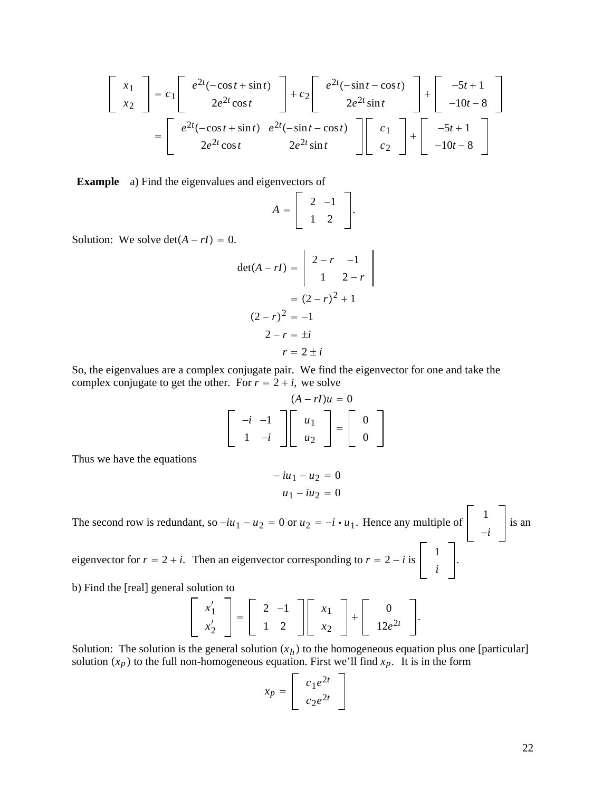$$
\begin{bmatrix} x_1 \\ x_2 \end{bmatrix} = c_1 \begin{bmatrix} e^{2t}(-\cos t + \sin t) \\ 2e^{2t}\cos t \end{bmatrix} + c_2 \begin{bmatrix} e^{2t}(-\sin t - \cos t) \\ 2e^{2t}\sin t \end{bmatrix} + \begin{bmatrix} -5t + 1 \\ -10t - 8 \end{bmatrix}
$$

$$
= \begin{bmatrix} e^{2t}(-\cos t + \sin t) & e^{2t}(-\sin t - \cos t) \\ 2e^{2t}\cos t & 2e^{2t}\sin t \end{bmatrix} \begin{bmatrix} c_1 \\ c_2 \end{bmatrix} + \begin{bmatrix} -5t + 1 \\ -10t - 8 \end{bmatrix}
$$

**Example** a) Find the eigenvalues and eigenvectors of

$$
A = \left[ \begin{array}{rr} 2 & -1 \\ 1 & 2 \end{array} \right].
$$

Solution: We solve  $\det(A - rI) = 0$ .

$$
det(A - rI) = \begin{vmatrix} 2 - r & -1 \\ 1 & 2 - r \end{vmatrix}
$$
  
=  $(2 - r)^2 + 1$   
 $2 - r = \pm i$   
 $r = 2 \pm i$ 

So, the eigenvalues are a complex conjugate pair. We find the eigenvector for one and take the complex conjugate to get the other. For  $r = 2 + i$ , we solve

$$
\begin{bmatrix} -i & -1 \\ 1 & -i \end{bmatrix} \begin{bmatrix} (A - rI)u = 0 \\ u_1 \\ u_2 \end{bmatrix} = \begin{bmatrix} 0 \\ 0 \\ 0 \end{bmatrix}
$$

Thus we have the equations

$$
-iu_1 - u_2 = 0
$$
  

$$
u_1 - iu_2 = 0
$$

The second row is redundant, so  $-iu_1 - u_2 = 0$  or  $u_2 = -i \cdot u_1$ . Hence any multiple of  $\begin{vmatrix} 1 & 1 \\ 1 & 1 \end{vmatrix}$ −*i* is an

eigenvector for  $r = 2 + i$ . Then an eigenvector corresponding to  $r = 2 - i$  is  $\begin{vmatrix} 1 & 1 \\ i & \end{vmatrix}$ .

b) Find the [real] general solution to

$$
\left[\begin{array}{c} x_1' \\ x_2' \end{array}\right] = \left[\begin{array}{cc} 2 & -1 \\ 1 & 2 \end{array}\right] \left[\begin{array}{c} x_1 \\ x_2 \end{array}\right] + \left[\begin{array}{c} 0 \\ 12e^{2t} \end{array}\right].
$$

Solution: The solution is the general solution  $(x_h)$  to the homogeneous equation plus one [particular] solution  $(x_p)$  to the full non-homogeneous equation. First we'll find  $x_p$ . It is in the form

$$
x_p = \begin{bmatrix} c_1 e^{2t} \\ c_2 e^{2t} \end{bmatrix}
$$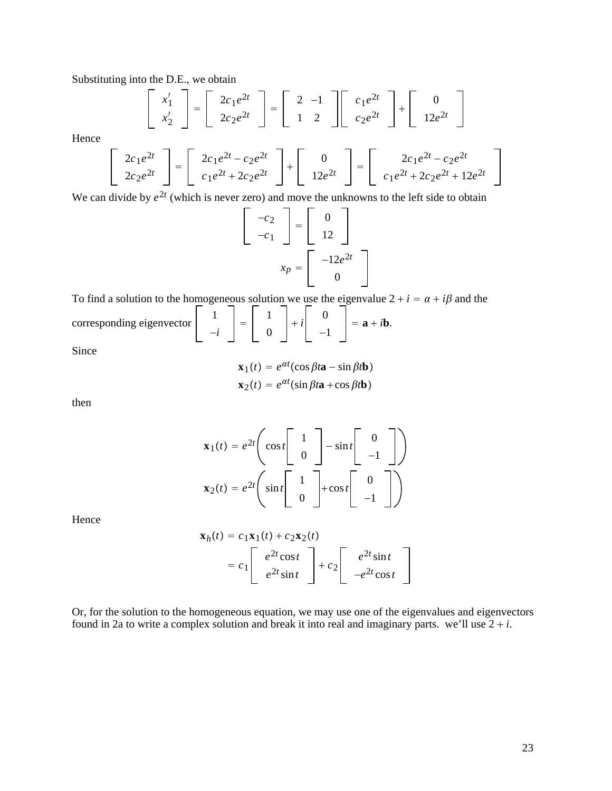Substituting into the D.E., we obtain

$$
\begin{bmatrix} x_1' \\ x_2' \end{bmatrix} = \begin{bmatrix} 2c_1e^{2t} \\ 2c_2e^{2t} \end{bmatrix} = \begin{bmatrix} 2 & -1 \\ 1 & 2 \end{bmatrix} \begin{bmatrix} c_1e^{2t} \\ c_2e^{2t} \end{bmatrix} + \begin{bmatrix} 0 \\ 12e^{2t} \end{bmatrix}
$$

Hence

$$
\begin{bmatrix} 2c_1e^{2t} \\ 2c_2e^{2t} \end{bmatrix} = \begin{bmatrix} 2c_1e^{2t} - c_2e^{2t} \\ c_1e^{2t} + 2c_2e^{2t} \end{bmatrix} + \begin{bmatrix} 0 \\ 12e^{2t} \end{bmatrix} = \begin{bmatrix} 2c_1e^{2t} - c_2e^{2t} \\ c_1e^{2t} + 2c_2e^{2t} + 12e^{2t} \end{bmatrix}
$$

We can divide by  $e^{2t}$  (which is never zero) and move the unknowns to the left side to obtain

$$
\begin{bmatrix} -c_2 \\ -c_1 \end{bmatrix} = \begin{bmatrix} 0 \\ 12 \end{bmatrix}
$$

$$
x_p = \begin{bmatrix} -12e^{2t} \\ 0 \end{bmatrix}
$$

To find a solution to the homogeneous solution we use the eigenvalue  $2 + i = \alpha + i\beta$  and the corresponding eigenvector  $\begin{vmatrix} 1 \\ -i \end{vmatrix} = \begin{vmatrix} 1 \\ 0 \end{vmatrix}$  $\begin{vmatrix} 0 \\ -1 \end{vmatrix} = \mathbf{a} + i\mathbf{b}.$ 

Since

$$
\mathbf{x}_1(t) = e^{\alpha t} (\cos \beta t \mathbf{a} - \sin \beta t \mathbf{b})
$$

$$
\mathbf{x}_2(t) = e^{\alpha t} (\sin \beta t \mathbf{a} + \cos \beta t \mathbf{b})
$$

then

$$
\mathbf{x}_1(t) = e^{2t} \begin{pmatrix} \cos t \begin{bmatrix} 1 \\ 0 \end{bmatrix} - \sin t \begin{bmatrix} 0 \\ -1 \end{bmatrix} \end{pmatrix}
$$

$$
\mathbf{x}_2(t) = e^{2t} \begin{pmatrix} \sin t \begin{bmatrix} 1 \\ 0 \end{bmatrix} + \cos t \begin{bmatrix} 0 \\ -1 \end{bmatrix} \end{pmatrix}
$$

Hence

$$
\mathbf{x}_h(t) = c_1 \mathbf{x}_1(t) + c_2 \mathbf{x}_2(t)
$$
  
=  $c_1 \begin{bmatrix} e^{2t} \cos t \\ e^{2t} \sin t \end{bmatrix} + c_2 \begin{bmatrix} e^{2t} \sin t \\ -e^{2t} \cos t \end{bmatrix}$ 

Or, for the solution to the homogeneous equation, we may use one of the eigenvalues and eigenvectors found in 2a to write a complex solution and break it into real and imaginary parts. we'll use  $2 + i$ .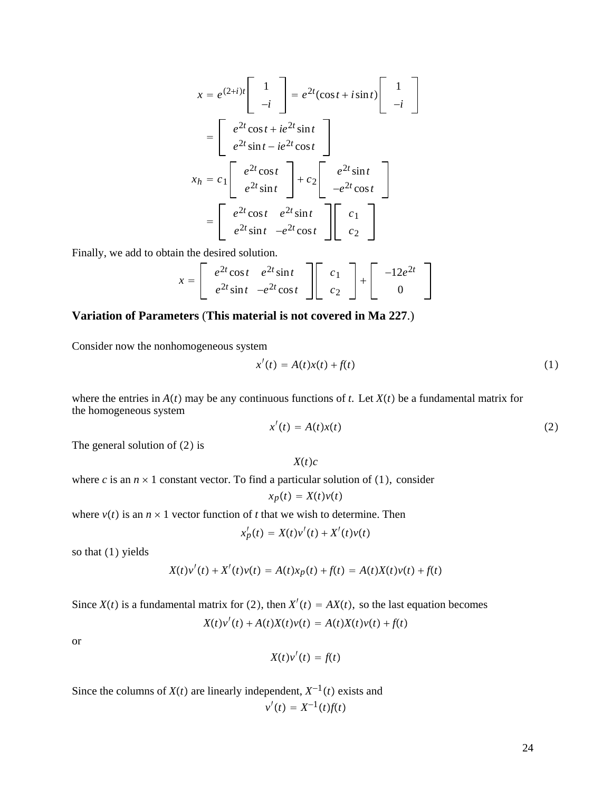$$
x = e^{(2+i)t} \begin{bmatrix} 1 \\ -i \end{bmatrix} = e^{2t} (\cos t + i \sin t) \begin{bmatrix} 1 \\ -i \end{bmatrix}
$$

$$
= \begin{bmatrix} e^{2t} \cos t + ie^{2t} \sin t \\ e^{2t} \sin t - ie^{2t} \cos t \end{bmatrix}
$$

$$
x_h = c_1 \begin{bmatrix} e^{2t} \cos t \\ e^{2t} \sin t \end{bmatrix} + c_2 \begin{bmatrix} e^{2t} \sin t \\ -e^{2t} \cos t \end{bmatrix}
$$

$$
= \begin{bmatrix} e^{2t} \cos t & e^{2t} \sin t \\ e^{2t} \sin t & -e^{2t} \cos t \end{bmatrix} \begin{bmatrix} c_1 \\ c_2 \end{bmatrix}
$$

Finally, we add to obtain the desired solution.

$$
x = \begin{bmatrix} e^{2t}\cos t & e^{2t}\sin t \\ e^{2t}\sin t & -e^{2t}\cos t \end{bmatrix} \begin{bmatrix} c_1 \\ c_2 \end{bmatrix} + \begin{bmatrix} -12e^{2t} \\ 0 \end{bmatrix}
$$

### **Variation of Parameters** (**This material is not covered in Ma 227**.)

Consider now the nonhomogeneous system

$$
x'(t) = A(t)x(t) + f(t)
$$
\n(1)

where the entries in  $A(t)$  may be any continuous functions of *t*. Let  $X(t)$  be a fundamental matrix for the homogeneous system

$$
x'(t) = A(t)x(t) \tag{2}
$$

The general solution of  $(2)$  is

 $X(t)c$ 

where *c* is an  $n \times 1$  constant vector. To find a particular solution of (1), consider

$$
x_p(t) = X(t)v(t)
$$

where  $v(t)$  is an  $n \times 1$  vector function of *t* that we wish to determine. Then

$$
x'_{p}(t) = X(t)v'(t) + X'(t)v(t)
$$

so that  $(1)$  yields

$$
X(t)v'(t) + X'(t)v(t) = A(t)x_p(t) + f(t) = A(t)X(t)v(t) + f(t)
$$

Since  $X(t)$  is a fundamental matrix for (2), then  $X'(t) = AX(t)$ , so the last equation becomes  $X(t)v'(t) + A(t)X(t)v(t) = A(t)X(t)v(t) + f(t)$ 

or

$$
X(t)v'(t) = f(t)
$$

Since the columns of *X*(*t*) are linearly independent,  $X^{-1}(t)$  exists and

$$
v'(t) = X^{-1}(t)f(t)
$$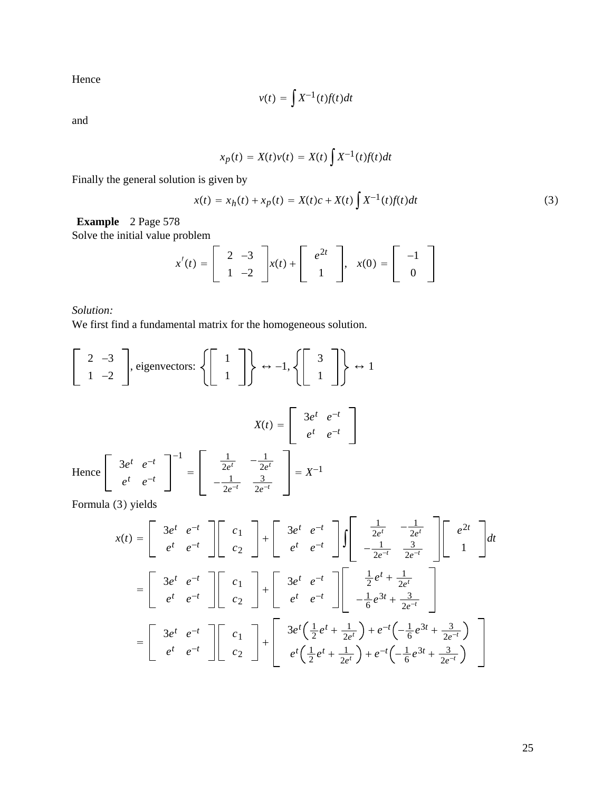Hence

$$
v(t) = \int X^{-1}(t) f(t) dt
$$

and

$$
x_p(t) = X(t)v(t) = X(t)\int X^{-1}(t)f(t)dt
$$

Finally the general solution is given by

$$
x(t) = x_h(t) + x_p(t) = X(t)c + X(t) \int X^{-1}(t) f(t) dt
$$
\n(3)

**Example** 2 Page 578

Solve the initial value problem

$$
x'(t) = \begin{bmatrix} 2 & -3 \\ 1 & -2 \end{bmatrix} x(t) + \begin{bmatrix} e^{2t} \\ 1 \end{bmatrix}, \quad x(0) = \begin{bmatrix} -1 \\ 0 \end{bmatrix}
$$

*Solution:*

We first find a fundamental matrix for the homogeneous solution.

$$
\begin{bmatrix} 2 & -3 \ 1 & -2 \end{bmatrix}
$$
, eigenvectors: 
$$
\left\{ \begin{bmatrix} 1 \ 1 \end{bmatrix} \right\} \leftrightarrow -1, \left\{ \begin{bmatrix} 3 \ 1 \end{bmatrix} \right\} \leftrightarrow 1
$$
  
\n
$$
X(t) = \begin{bmatrix} 3e^{t} & e^{-t} \ e^{t} & e^{-t} \end{bmatrix}
$$
  
\nHence 
$$
\begin{bmatrix} 3e^{t} & e^{-t} \ e^{t} & e^{-t} \end{bmatrix}^{-1} = \begin{bmatrix} \frac{1}{2e^{t}} & -\frac{1}{2e^{t}} \\ -\frac{1}{2e^{-t}} & \frac{3}{2e^{-t}} \end{bmatrix} = X^{-1}
$$

Formula (3) yields

$$
x(t) = \begin{bmatrix} 3e^{t} & e^{-t} \\ e^{t} & e^{-t} \end{bmatrix} \begin{bmatrix} c_{1} \\ c_{2} \end{bmatrix} + \begin{bmatrix} 3e^{t} & e^{-t} \\ e^{t} & e^{-t} \end{bmatrix} \int \begin{bmatrix} \frac{1}{2e^{t}} & -\frac{1}{2e^{t}} \\ -\frac{1}{2e^{-t}} & \frac{3}{2e^{-t}} \end{bmatrix} \begin{bmatrix} e^{2t} \\ 1 \end{bmatrix} dt
$$
  

$$
= \begin{bmatrix} 3e^{t} & e^{-t} \\ e^{t} & e^{-t} \end{bmatrix} \begin{bmatrix} c_{1} \\ c_{2} \end{bmatrix} + \begin{bmatrix} 3e^{t} & e^{-t} \\ e^{t} & e^{-t} \end{bmatrix} \begin{bmatrix} \frac{1}{2}e^{t} + \frac{1}{2e^{t}} \\ -\frac{1}{6}e^{3t} + \frac{3}{2e^{-t}} \end{bmatrix}
$$
  

$$
= \begin{bmatrix} 3e^{t} & e^{-t} \\ e^{t} & e^{-t} \end{bmatrix} \begin{bmatrix} c_{1} \\ c_{2} \end{bmatrix} + \begin{bmatrix} 3e^{t}(\frac{1}{2}e^{t} + \frac{1}{2e^{t}}) + e^{-t}(-\frac{1}{6}e^{3t} + \frac{3}{2e^{-t}}) \\ e^{t}(\frac{1}{2}e^{t} + \frac{1}{2e^{t}}) + e^{-t}(-\frac{1}{6}e^{3t} + \frac{3}{2e^{-t}}) \end{bmatrix}
$$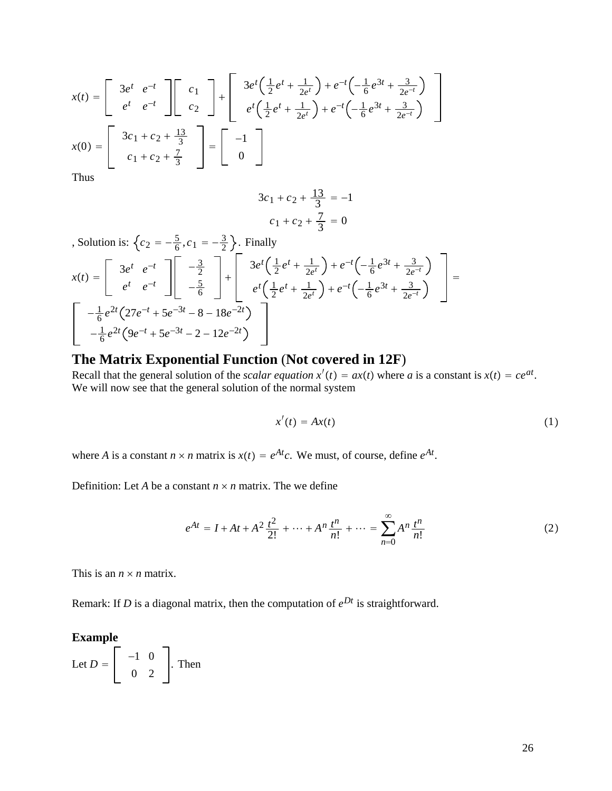$$
x(t) = \begin{bmatrix} 3e^{t} & e^{-t} \\ e^{t} & e^{-t} \end{bmatrix} \begin{bmatrix} c_1 \\ c_2 \end{bmatrix} + \begin{bmatrix} 3e^{t} \left( \frac{1}{2} e^{t} + \frac{1}{2e^{t}} \right) + e^{-t} \left( -\frac{1}{6} e^{3t} + \frac{3}{2e^{-t}} \right) \\ e^{t} \left( \frac{1}{2} e^{t} + \frac{1}{2e^{t}} \right) + e^{-t} \left( -\frac{1}{6} e^{3t} + \frac{3}{2e^{-t}} \right) \end{bmatrix}
$$

$$
x(0) = \begin{bmatrix} 3c_1 + c_2 + \frac{13}{3} \\ c_1 + c_2 + \frac{7}{3} \end{bmatrix} = \begin{bmatrix} -1 \\ 0 \end{bmatrix}
$$

Thus

$$
3c_1 + c_2 + \frac{13}{3} = -1
$$
  

$$
c_1 + c_2 + \frac{7}{3} = 0
$$

, Solution is: 
$$
\begin{aligned}\n\begin{aligned}\n\{c_2 = -\frac{5}{6}, c_1 = -\frac{3}{2}\}.\n\end{aligned}\n\end{aligned}
$$
\n
$$
x(t) = \begin{bmatrix}\n3e^t & e^{-t} \\
e^t & e^{-t}\n\end{bmatrix}\n\begin{bmatrix}\n-\frac{3}{2} \\
-\frac{5}{6}\n\end{bmatrix} + \begin{bmatrix}\n3e^t\left(\frac{1}{2}e^t + \frac{1}{2e^t}\right) + e^{-t}\left(-\frac{1}{6}e^{3t} + \frac{3}{2e^{-t}}\right) \\
e^t\left(\frac{1}{2}e^t + \frac{1}{2e^t}\right) + e^{-t}\left(-\frac{1}{6}e^{3t} + \frac{3}{2e^{-t}}\right)\n\end{bmatrix} = \begin{bmatrix}\n-\frac{1}{6}e^{2t}\left(27e^{-t} + 5e^{-3t} - 8 - 18e^{-2t}\right) \\
-\frac{1}{6}e^{2t}\left(9e^{-t} + 5e^{-3t} - 2 - 12e^{-2t}\right)\n\end{bmatrix}
$$

# **The Matrix Exponential Function** (**Not covered in 12F**)

Recall that the general solution of the *scalar equation*  $x'(t) = ax(t)$  where *a* is a constant is  $x(t) = ce^{at}$ . We will now see that the general solution of the normal system

$$
x'(t) = Ax(t) \tag{1}
$$

where *A* is a constant  $n \times n$  matrix is  $x(t) = e^{At}c$ . We must, of course, define  $e^{At}$ .

Definition: Let *A* be a constant  $n \times n$  matrix. The we define

$$
e^{At} = I + At + A^2 \frac{t^2}{2!} + \dots + A^n \frac{t^n}{n!} + \dots = \sum_{n=0}^{\infty} A^n \frac{t^n}{n!}
$$
 (2)

This is an  $n \times n$  matrix.

Remark: If *D* is a diagonal matrix, then the computation of *eDt* is straightforward.

# **Example**

Let 
$$
D = \begin{bmatrix} -1 & 0 \\ 0 & 2 \end{bmatrix}
$$
. Then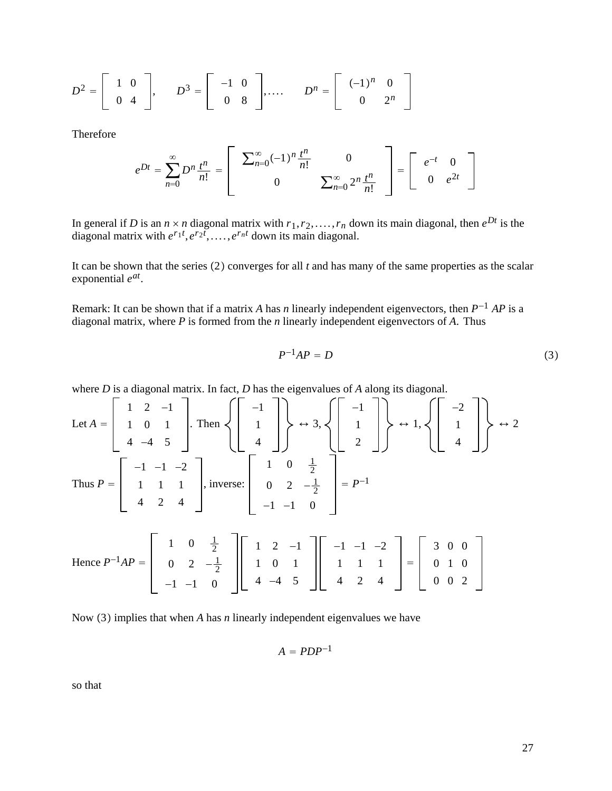$$
D^{2} = \begin{bmatrix} 1 & 0 \\ 0 & 4 \end{bmatrix}, \qquad D^{3} = \begin{bmatrix} -1 & 0 \\ 0 & 8 \end{bmatrix}, \dots, \qquad D^{n} = \begin{bmatrix} (-1)^{n} & 0 \\ 0 & 2^{n} \end{bmatrix}
$$

Therefore

$$
e^{Dt} = \sum_{n=0}^{\infty} D^n \frac{t^n}{n!} = \left[ \begin{array}{rr} \sum_{n=0}^{\infty} (-1)^n \frac{t^n}{n!} & 0 \\ 0 & \sum_{n=0}^{\infty} 2^n \frac{t^n}{n!} \end{array} \right] = \left[ \begin{array}{rr} e^{-t} & 0 \\ 0 & e^{2t} \end{array} \right]
$$

In general if *D* is an  $n \times n$  diagonal matrix with  $r_1, r_2, \ldots, r_n$  down its main diagonal, then  $e^{Dt}$  is the diagonal matrix with  $e^{r_1t}$ ,  $e^{r_2t}$ , ...,  $e^{r_nt}$  down its main diagonal.

It can be shown that the series  $(2)$  converges for all  $t$  and has many of the same properties as the scalar exponential *eat*.

Remark: It can be shown that if a matrix *A* has *n* linearly independent eigenvectors, then *P*−<sup>1</sup> *AP* is a diagonal matrix, where *P* is formed from the *n* linearly independent eigenvectors of *A*. Thus

$$
P^{-1}AP = D \tag{3}
$$

where *D* is a diagonal matrix. In fact, *D* has the eigenvalues of *A* along its diagonal.

Let 
$$
A = \begin{bmatrix} 1 & 2 & -1 \ 1 & 0 & 1 \ 4 & -4 & 5 \end{bmatrix}
$$
. Then  $\left\{\begin{bmatrix} -1 \ 1 \ 4 \end{bmatrix}\right\}$   $\leftrightarrow 3$ ,  $\left\{\begin{bmatrix} -1 \ 1 \ 2 \end{bmatrix}\right\}$   $\leftrightarrow 1$ ,  $\left\{\begin{bmatrix} -2 \ 1 \ 4 \end{bmatrix}\right\}$   $\leftrightarrow 2$   
Thus  $P = \begin{bmatrix} -1 & -1 & -2 \ 1 & 1 & 1 \ 4 & 2 & 4 \end{bmatrix}$ , inverse:  $\begin{bmatrix} 1 & 0 & \frac{1}{2} \ 0 & 2 & -\frac{1}{2} \ -1 & -1 & 0 \end{bmatrix} = P^{-1}$   
Hence  $P^{-1}AP = \begin{bmatrix} 1 & 0 & \frac{1}{2} \ 0 & 2 & -\frac{1}{2} \ -1 & -1 & 0 \end{bmatrix} \begin{bmatrix} 1 & 2 & -1 \ 1 & 0 & 1 \ 4 & -4 & 5 \end{bmatrix} \begin{bmatrix} -1 & -1 & -2 \ 1 & 1 & 1 \ 4 & 2 & 4 \end{bmatrix} = \begin{bmatrix} 3 & 0 & 0 \ 0 & 1 & 0 \ 0 & 0 & 2 \end{bmatrix}$ 

Now (3) implies that when *A* has *n* linearly independent eigenvalues we have

$$
A = PDP^{-1}
$$

so that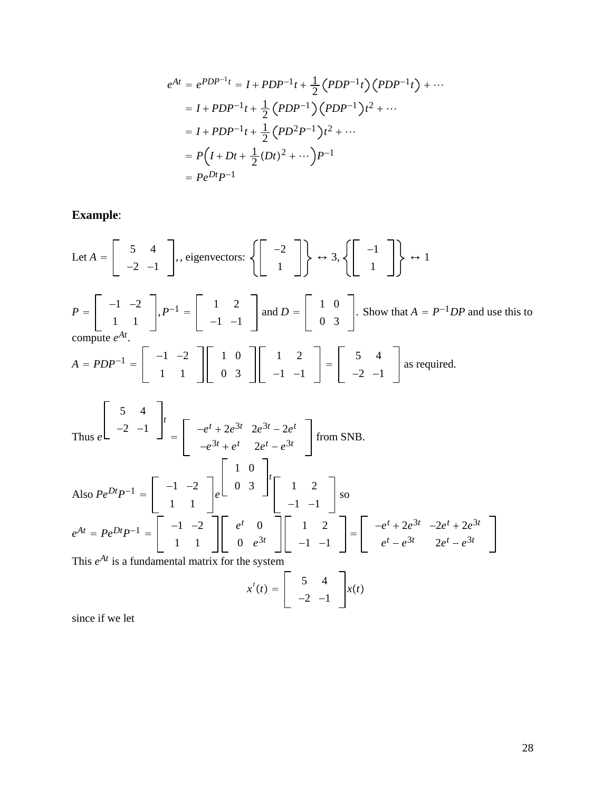$$
e^{At} = e^{PDP^{-1}t} = I + PDP^{-1}t + \frac{1}{2}(PDP^{-1}t)(PDP^{-1}t) + \cdots
$$
  
\n
$$
= I + PDP^{-1}t + \frac{1}{2}(PDP^{-1})(PDP^{-1})t^{2} + \cdots
$$
  
\n
$$
= I + PDP^{-1}t + \frac{1}{2}(PD^{2}P^{-1})t^{2} + \cdots
$$
  
\n
$$
= P(I + Dt + \frac{1}{2}(Dt)^{2} + \cdots)P^{-1}
$$
  
\n
$$
= Pe^{Dt}P^{-1}
$$

**Example**:

Let 
$$
A = \begin{bmatrix} 5 & 4 \ -2 & -1 \end{bmatrix}
$$
, eigenvectors:  $\left\{ \begin{bmatrix} -2 \ 1 \end{bmatrix} \right\} \leftrightarrow 3, \left\{ \begin{bmatrix} -1 \ 1 \end{bmatrix} \right\} \leftrightarrow 1$   
\n $P = \begin{bmatrix} -1 & -2 \ 1 & 1 \end{bmatrix}, P^{-1} = \begin{bmatrix} 1 & 2 \ -1 & -1 \end{bmatrix}$  and  $D = \begin{bmatrix} 1 & 0 \ 0 & 3 \end{bmatrix}$ . Show that  $A = P^{-1}DP$  and use this to compute  $e^{At}$ .  
\n $A = PDP^{-1} = \begin{bmatrix} -1 & -2 \ 1 & 1 \end{bmatrix} \begin{bmatrix} 1 & 0 \ 0 & 3 \end{bmatrix} \begin{bmatrix} 1 & 2 \ -1 & -1 \end{bmatrix} = \begin{bmatrix} 5 & 4 \ -2 & -1 \end{bmatrix}$  as required.  
\nThus  $e \begin{bmatrix} 5 & 4 \ -2 & -1 \end{bmatrix} \begin{bmatrix} 1 & 0 \ -e^{3t} + e^{t} & 2e^{t} - e^{3t} \ -e^{3t} + e^{t} & 2e^{t} - e^{3t} \end{bmatrix}$  from SNB.  
\nAlso  $Pe^{Dt}P^{-1} = \begin{bmatrix} -1 & -2 \ 1 & 1 \end{bmatrix} e^{\begin{bmatrix} 1 & 0 \ 0 & 3 \end{bmatrix} \begin{bmatrix} 1 & 2 \ -1 & -1 \end{bmatrix}$  so  
\n $e^{At} = Pe^{Dt}P^{-1} = \begin{bmatrix} -1 & -2 \ 1 & 1 \end{bmatrix} \begin{bmatrix} e^{t} & 0 \ 0 & e^{3t} \end{bmatrix} \begin{bmatrix} 1 & 2 \ -1 & -1 \end{bmatrix} = \begin{bmatrix} -e^{t} + 2e^{3t} & -2e^{t} + 2e^{3t} \ e^{t} - e^{3t} & 2e^{t} - e^{3t} \end{bmatrix}$   
\nThis  $e^{At}$  is a fundamental matrix for the system

$$
x'(t) = \begin{bmatrix} 5 & 4 \\ -2 & -1 \end{bmatrix} x(t)
$$

since if we let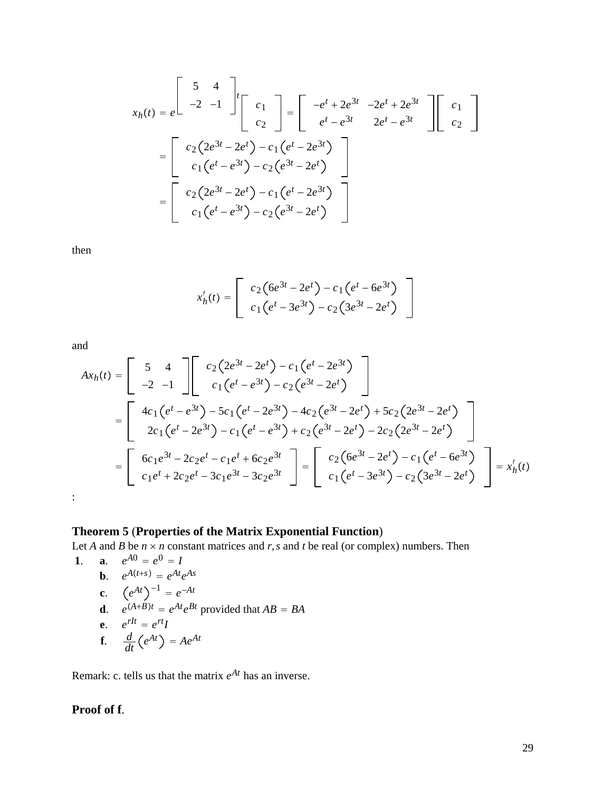$$
x_h(t) = e^{\int_{0}^{t} \frac{1}{2}t} \left[ \begin{array}{c} c_1 \\ c_2 \end{array} \right] = \left[ \begin{array}{c} -e^t + 2e^{3t} & -2e^t + 2e^{3t} \\ e^t - e^{3t} & 2e^t - e^{3t} \end{array} \right] \left[ \begin{array}{c} c_1 \\ c_2 \end{array} \right]
$$

$$
= \left[ \begin{array}{c} c_2(2e^{3t} - 2e^t) - c_1(e^t - 2e^{3t}) \\ c_1(e^t - e^{3t}) - c_2(e^{3t} - 2e^t) \end{array} \right]
$$

$$
= \left[ \begin{array}{c} c_2(2e^{3t} - 2e^t) - c_1(e^t - 2e^{3t}) \\ c_1(e^t - e^{3t}) - c_2(e^{3t} - 2e^t) \end{array} \right]
$$

then

$$
x'_{h}(t) = \begin{bmatrix} c_{2} (6e^{3t} - 2e^{t}) - c_{1} (e^{t} - 6e^{3t}) \\ c_{1} (e^{t} - 3e^{3t}) - c_{2} (3e^{3t} - 2e^{t}) \end{bmatrix}
$$

and

$$
Ax_h(t) = \begin{bmatrix} 5 & 4 \\ -2 & -1 \end{bmatrix} \begin{bmatrix} c_2(2e^{3t} - 2e^t) - c_1(e^t - 2e^{3t}) \\ c_1(e^t - e^{3t}) - c_2(e^{3t} - 2e^t) \end{bmatrix}
$$
  
= 
$$
\begin{bmatrix} 4c_1(e^t - e^{3t}) - 5c_1(e^t - 2e^{3t}) - 4c_2(e^{3t} - 2e^t) + 5c_2(2e^{3t} - 2e^t) \\ 2c_1(e^t - 2e^{3t}) - c_1(e^t - e^{3t}) + c_2(e^{3t} - 2e^t) - 2c_2(2e^{3t} - 2e^t) \end{bmatrix}
$$
  
= 
$$
\begin{bmatrix} 6c_1e^{3t} - 2c_2e^t - c_1e^t + 6c_2e^{3t} \\ c_1e^t + 2c_2e^t - 3c_1e^{3t} - 3c_2e^{3t} \end{bmatrix} = \begin{bmatrix} c_2(6e^{3t} - 2e^t) - c_1(e^t - 6e^{3t}) \\ c_1(e^t - 3e^{3t}) - c_2(3e^{3t} - 2e^t) \end{bmatrix} = x_h'(t)
$$
  
:

# **Theorem 5** (**Properties of the Matrix Exponential Function**)

Let *A* and *B* be  $n \times n$  constant matrices and  $r$ , *s* and  $t$  be real (or complex) numbers. Then

1. **a.** 
$$
e^{A0} = e^{0} = I
$$
  
\n**b.**  $e^{A(t+s)} = e^{At}e^{As}$   
\n**c.**  $(e^{At})^{-1} = e^{-At}$   
\n**d.**  $e^{(A+B)t} = e^{At}e^{Bt}$  provided that  $AB = BA$   
\n**e.**  $e^{rIt} = e^{rt}I$   
\n**f.**  $\frac{d}{dt}(e^{At}) = Ae^{At}$ 

Remark: c. tells us that the matrix *eAt* has an inverse.

# **Proof of f**.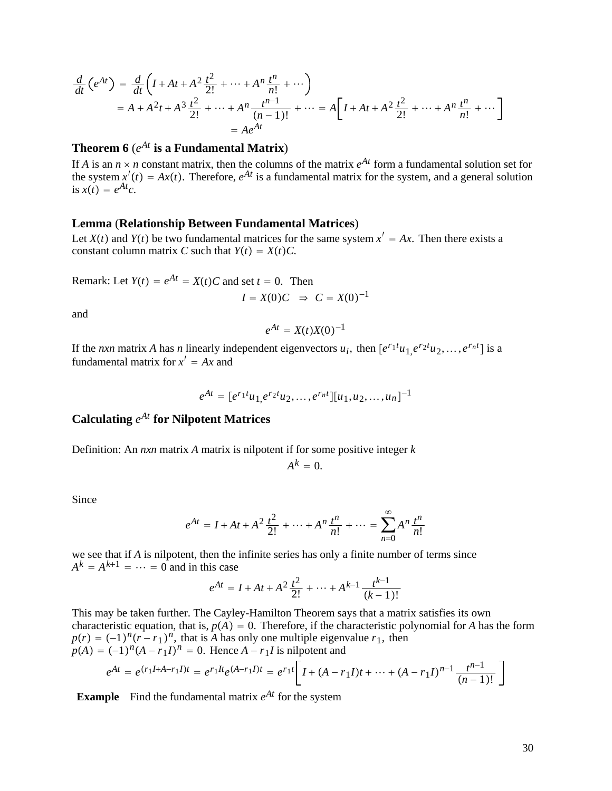$$
\frac{d}{dt}\left(e^{At}\right) = \frac{d}{dt}\left(I + At + A^2\frac{t^2}{2!} + \dots + A^n\frac{t^n}{n!} + \dots\right)
$$
\n
$$
= A + A^2t + A^3\frac{t^2}{2!} + \dots + A^n\frac{t^{n-1}}{(n-1)!} + \dots = A\left[I + At + A^2\frac{t^2}{2!} + \dots + A^n\frac{t^n}{n!} + \dots\right]
$$
\n
$$
= Ae^{At}
$$

# **Theorem 6** (*eAt* **is a Fundamental Matrix**)

If *A* is an  $n \times n$  constant matrix, then the columns of the matrix  $e^{At}$  form a fundamental solution set for the system  $x'(t) = Ax(t)$ . Therefore,  $e^{At}$  is a fundamental matrix for the system, and a general solution is  $x(t) = e^{At}c$ .

#### **Lemma** (**Relationship Between Fundamental Matrices**)

Let  $X(t)$  and  $Y(t)$  be two fundamental matrices for the same system  $x' = Ax$ . Then there exists a constant column matrix *C* such that  $Y(t) = X(t)C$ .

Remark: Let  $Y(t) = e^{At} = X(t)C$  and set  $t = 0$ . Then

$$
I = X(0)C \Rightarrow C = X(0)^{-1}
$$

and

$$
e^{At}=X(t)X(0)^{-1}
$$

If the *nxn* matrix *A* has *n* linearly independent eigenvectors  $u_i$ , then  $[e^{r_1t}u_1, e^{r_2t}u_2, \dots, e^{r_nt}]$  is a fundamental matrix for  $x' = Ax$  and

$$
e^{At} = [e^{r_1t}u_1, e^{r_2t}u_2, \dots, e^{r_nt}][u_1, u_2, \dots, u_n]^{-1}
$$

Calculating 
$$
e^{At}
$$
 for Nilpotent Matrices

Definition: An *nxn* matrix *A* matrix is nilpotent if for some positive integer *k*

$$
A^k=0.
$$

Since

$$
e^{At} = I + At + A^2 \frac{t^2}{2!} + \dots + A^n \frac{t^n}{n!} + \dots = \sum_{n=0}^{\infty} A^n \frac{t^n}{n!}
$$

we see that if *A* is nilpotent, then the infinite series has only a finite number of terms since  $A^k = A^{k+1} = \cdots = 0$  and in this case

$$
e^{At} = I + At + A^2 \frac{t^2}{2!} + \dots + A^{k-1} \frac{t^{k-1}}{(k-1)!}
$$

This may be taken further. The Cayley-Hamilton Theorem says that a matrix satisfies its own characteristic equation, that is,  $p(A) = 0$ . Therefore, if the characteristic polynomial for *A* has the form  $p(r) = (-1)^n (r - r_1)^n$ , that is *A* has only one multiple eigenvalue *r*<sub>1</sub>, then  $p(A) = (-1)^n (A - r_1 I)^n = 0$ . Hence  $A - r_1 I$  is nilpotent and

$$
e^{At} = e^{(r_1I + A - r_1I)t} = e^{r_1It}e^{(A - r_1I)t} = e^{r_1t}\left[I + (A - r_1I)t + \dots + (A - r_1I)^{n-1}\frac{t^{n-1}}{(n-1)!}\right]
$$

**Example** Find the fundamental matrix  $e^{At}$  for the system